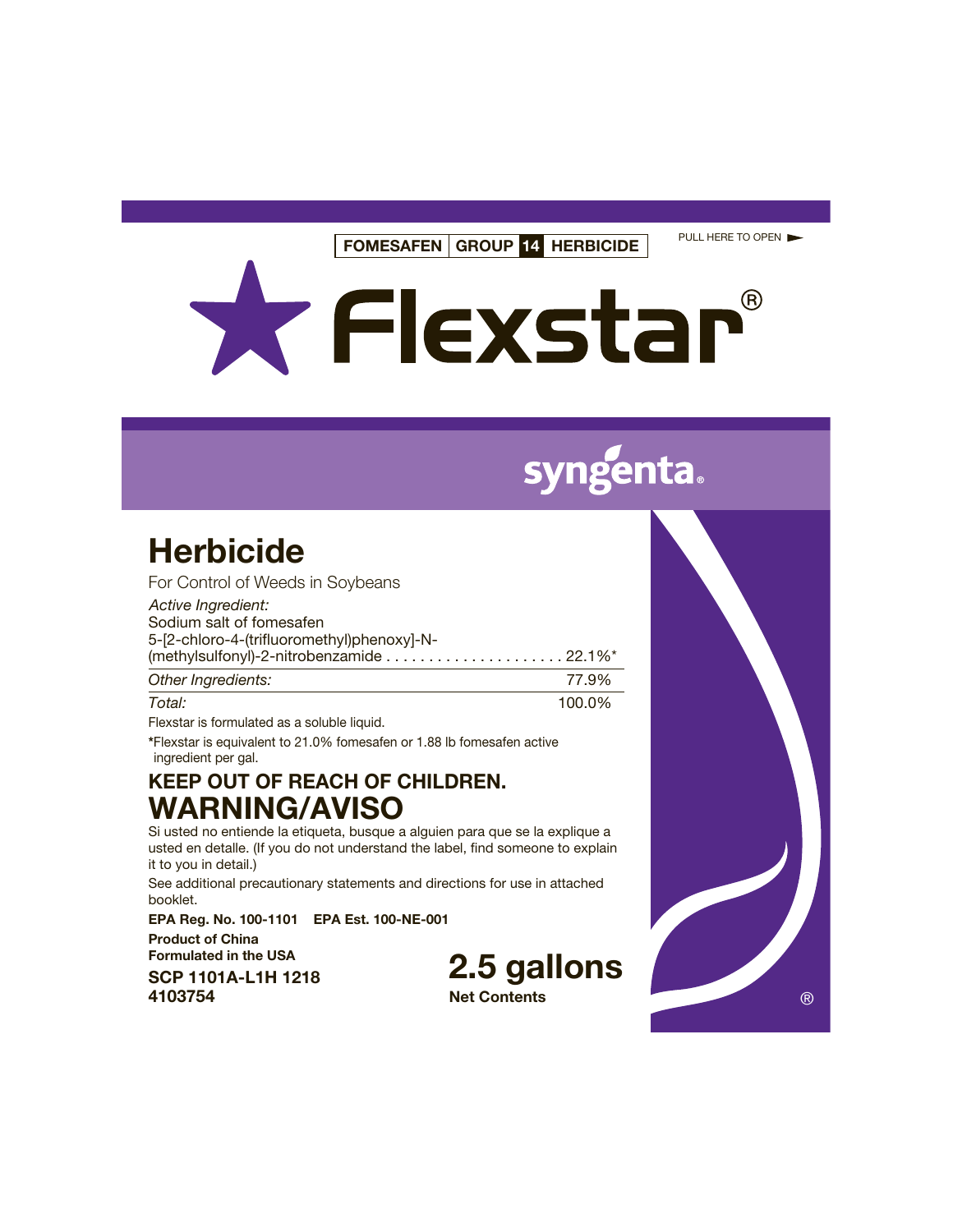**FOMESAFEN GROUP 14 HERBICIDE**

PULL HERE TO OPEN

X Flexstar® R)

# genta.

## **Herbicide**

| For Control of Weeds in Soybeans           |       |
|--------------------------------------------|-------|
| Active Ingredient:                         |       |
| Sodium salt of fomesafen                   |       |
| 5-[2-chloro-4-(trifluoromethyl)phenoxy]-N- |       |
|                                            |       |
| Other Ingredients:                         | 77.9% |

| Uther highedicties. | ,,,,,, |
|---------------------|--------|
| Total:              | 100.0% |
| $-1$<br>.           |        |

Flexstar is formulated as a soluble liquid.

**\***Flexstar is equivalent to 21.0% fomesafen or 1.88 lb fomesafen active ingredient per gal.

## **KEEP OUT OF REACH OF CHILDREN. WARNING/AVISO**

Si usted no entiende la etiqueta, busque a alguien para que se la explique a usted en detalle. (If you do not understand the label, find someone to explain it to you in detail.)

See additional precautionary statements and directions for use in attached booklet.

**EPA Reg. No. 100-1101 EPA Est. 100-NE-001**

**Product of China Formulated in the USA**

**SCP 1101A-L1H 1218**

**2.5 gallons**

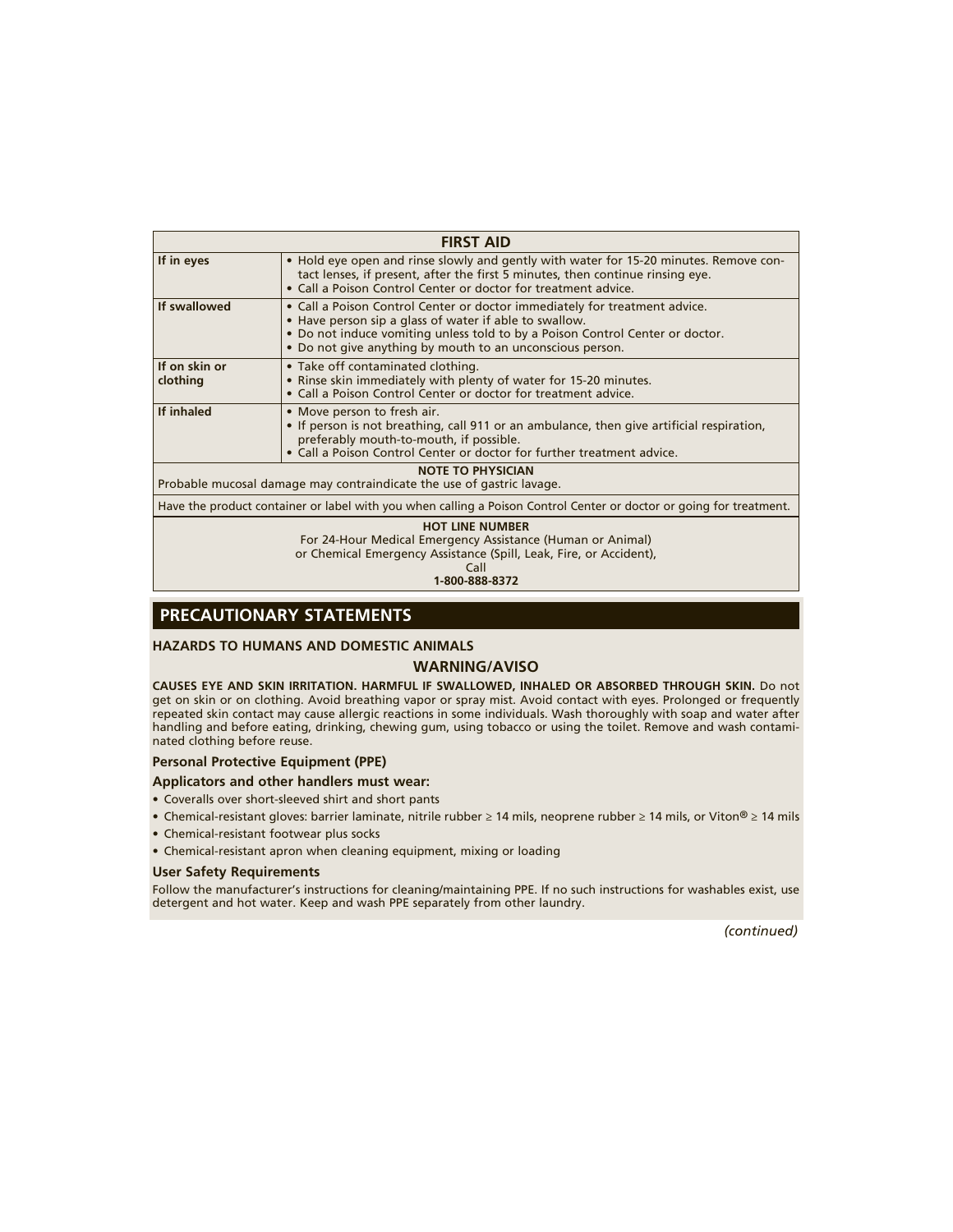|                                                                                                                     | <b>FIRST AID</b>                                                                                                                                                                                                                                                                   |  |  |
|---------------------------------------------------------------------------------------------------------------------|------------------------------------------------------------------------------------------------------------------------------------------------------------------------------------------------------------------------------------------------------------------------------------|--|--|
| If in eyes                                                                                                          | • Hold eye open and rinse slowly and gently with water for 15-20 minutes. Remove con-<br>tact lenses, if present, after the first 5 minutes, then continue rinsing eye.<br>• Call a Poison Control Center or doctor for treatment advice.                                          |  |  |
| If swallowed                                                                                                        | • Call a Poison Control Center or doctor immediately for treatment advice.<br>• Have person sip a glass of water if able to swallow.<br>. Do not induce vomiting unless told to by a Poison Control Center or doctor.<br>• Do not give anything by mouth to an unconscious person. |  |  |
| If on skin or<br>clothing                                                                                           | • Take off contaminated clothing.<br>• Rinse skin immediately with plenty of water for 15-20 minutes.<br>• Call a Poison Control Center or doctor for treatment advice.                                                                                                            |  |  |
| If inhaled                                                                                                          | • Move person to fresh air.<br>• If person is not breathing, call 911 or an ambulance, then give artificial respiration,<br>preferably mouth-to-mouth, if possible.<br>. Call a Poison Control Center or doctor for further treatment advice.                                      |  |  |
| <b>NOTE TO PHYSICIAN</b><br>Probable mucosal damage may contraindicate the use of gastric lavage.                   |                                                                                                                                                                                                                                                                                    |  |  |
|                                                                                                                     |                                                                                                                                                                                                                                                                                    |  |  |
| Have the product container or label with you when calling a Poison Control Center or doctor or going for treatment. |                                                                                                                                                                                                                                                                                    |  |  |
|                                                                                                                     | <b>HOT LINE NUMBER</b><br>For 24-Hour Medical Emergency Assistance (Human or Animal)<br>or Chemical Emergency Assistance (Spill, Leak, Fire, or Accident),<br>1.000.000.027                                                                                                        |  |  |

**1-800-888-8372** 

## **PRECAUTIONARY STATEMENTS**

#### **HAZARDS TO HUMANS AND DOMESTIC ANIMALS**

#### **WARNING/AVISO**

**CAUSES EYE AND SKIN IRRITATION. HARMFUL IF SWALLOWED, INHALED OR ABSORBED THROUGH SKIN.** Do not get on skin or on clothing. Avoid breathing vapor or spray mist. Avoid contact with eyes. Prolonged or frequently repeated skin contact may cause allergic reactions in some individuals. Wash thoroughly with soap and water after handling and before eating, drinking, chewing gum, using tobacco or using the toilet. Remove and wash contaminated clothing before reuse.

#### **Personal Protective Equipment (PPE)**

#### **Applicators and other handlers must wear:**

- Coveralls over short-sleeved shirt and short pants
- Chemical-resistant gloves: barrier laminate, nitrile rubber ≥ 14 mils, neoprene rubber ≥ 14 mils, or Viton® ≥ 14 mils
- Chemical-resistant footwear plus socks
- Chemical-resistant apron when cleaning equipment, mixing or loading

#### **User Safety Requirements**

Follow the manufacturer's instructions for cleaning/maintaining PPE. If no such instructions for washables exist, use detergent and hot water. Keep and wash PPE separately from other laundry.

*(continued)*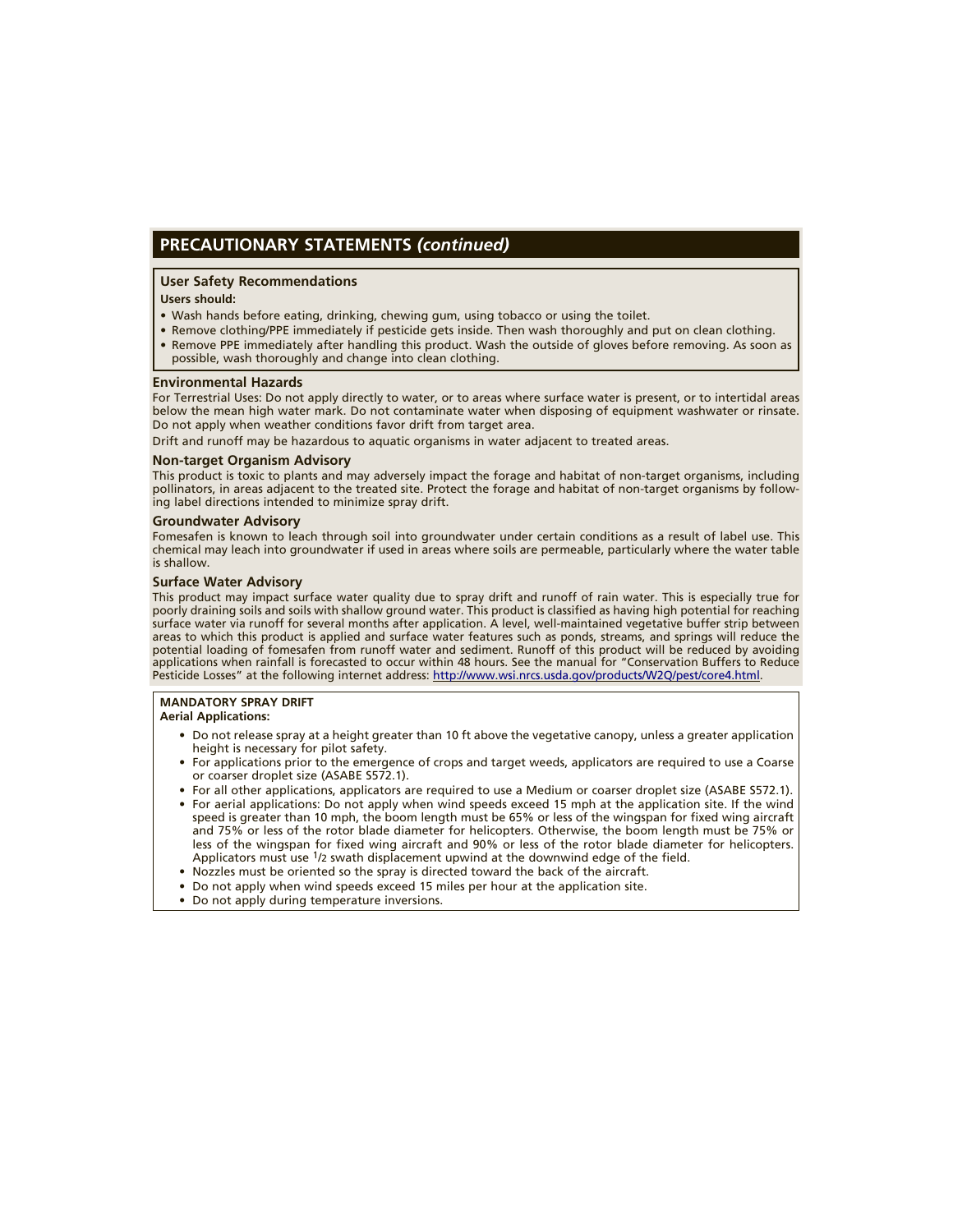## **PRECAUTIONARY STATEMENTS** *(continued)*

#### **User Safety Recommendations**

#### **Users should:**

- Wash hands before eating, drinking, chewing gum, using tobacco or using the toilet.
- Remove clothing/PPE immediately if pesticide gets inside. Then wash thoroughly and put on clean clothing. • Remove PPE immediately after handling this product. Wash the outside of gloves before removing. As soon as
- possible, wash thoroughly and change into clean clothing.

#### **Environmental Hazards**

For Terrestrial Uses: Do not apply directly to water, or to areas where surface water is present, or to intertidal areas below the mean high water mark. Do not contaminate water when disposing of equipment washwater or rinsate. Do not apply when weather conditions favor drift from target area.

Drift and runoff may be hazardous to aquatic organisms in water adjacent to treated areas.

#### **Non-target Organism Advisory**

This product is toxic to plants and may adversely impact the forage and habitat of non-target organisms, including pollinators, in areas adjacent to the treated site. Protect the forage and habitat of non-target organisms by following label directions intended to minimize spray drift.

#### **Groundwater Advisory**

Fomesafen is known to leach through soil into groundwater under certain conditions as a result of label use. This chemical may leach into groundwater if used in areas where soils are permeable, particularly where the water table is shallow.

#### **Surface Water Advisory**

This product may impact surface water quality due to spray drift and runoff of rain water. This is especially true for poorly draining soils and soils with shallow ground water. This product is classified as having high potential for reaching surface water via runoff for several months after application. A level, well-maintained vegetative buffer strip between areas to which this product is applied and surface water features such as ponds, streams, and springs will reduce the potential loading of fomesafen from runoff water and sediment. Runoff of this product will be reduced by avoiding applications when rainfall is forecasted to occur within 48 hours. See the manual for "Conservation Buffers to Reduce Pesticide Losses" at the following internet address: [http://www.wsi.nrcs.usda.gov/products/W2Q/pest/core4.html](http://www.wsi.nrcs.usda.gov/products/W2Q/pest/core4.html.).

## **MANDATORY SPRAY DRIFT**

#### **Aerial Applications:**

- Do not release spray at a height greater than 10 ft above the vegetative canopy, unless a greater application height is necessary for pilot safety.
- For applications prior to the emergence of crops and target weeds, applicators are required to use a Coarse or coarser droplet size (ASABE S572.1).
- For all other applications, applicators are required to use a Medium or coarser droplet size (ASABE S572.1).
- For aerial applications: Do not apply when wind speeds exceed 15 mph at the application site. If the wind speed is greater than 10 mph, the boom length must be 65% or less of the wingspan for fixed wing aircraft and 75% or less of the rotor blade diameter for helicopters. Otherwise, the boom length must be 75% or less of the wingspan for fixed wing aircraft and 90% or less of the rotor blade diameter for helicopters. Applicators must use 1/2 swath displacement upwind at the downwind edge of the field.
- Nozzles must be oriented so the spray is directed toward the back of the aircraft.
- Do not apply when wind speeds exceed 15 miles per hour at the application site.
- Do not apply during temperature inversions.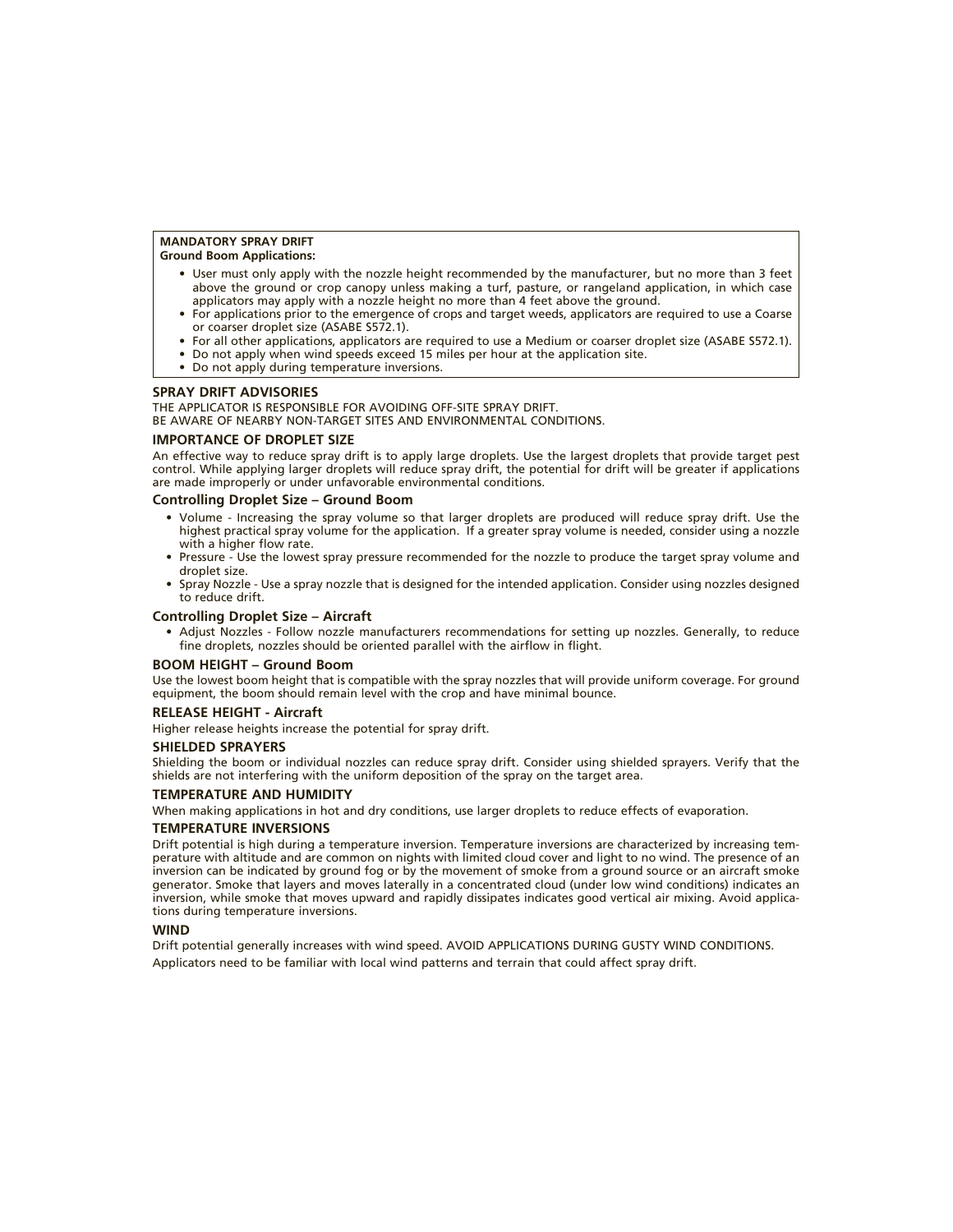#### **MANDATORY SPRAY DRIFT**

#### **Ground Boom Applications:**

- User must only apply with the nozzle height recommended by the manufacturer, but no more than 3 feet above the ground or crop canopy unless making a turf, pasture, or rangeland application, in which case applicators may apply with a nozzle height no more than 4 feet above the ground.
- For applications prior to the emergence of crops and target weeds, applicators are required to use a Coarse or coarser droplet size (ASABE S572.1).
- For all other applications, applicators are required to use a Medium or coarser droplet size (ASABE S572.1).
- Do not apply when wind speeds exceed 15 miles per hour at the application site.
- Do not apply during temperature inversions.

#### **SPRAY DRIFT ADVISORIES**

THE APPLICATOR IS RESPONSIBLE FOR AVOIDING OFF-SITE SPRAY DRIFT. BE AWARE OF NEARBY NON-TARGET SITES AND ENVIRONMENTAL CONDITIONS.

#### **IMPORTANCE OF DROPLET SIZE**

An effective way to reduce spray drift is to apply large droplets. Use the largest droplets that provide target pest control. While applying larger droplets will reduce spray drift, the potential for drift will be greater if applications are made improperly or under unfavorable environmental conditions.

#### **Controlling Droplet Size – Ground Boom**

- Volume Increasing the spray volume so that larger droplets are produced will reduce spray drift. Use the highest practical spray volume for the application. If a greater spray volume is needed, consider using a nozzle with a higher flow rate.
- Pressure Use the lowest spray pressure recommended for the nozzle to produce the target spray volume and droplet size.
- Spray Nozzle Use a spray nozzle that is designed for the intended application. Consider using nozzles designed to reduce drift.

#### **Controlling Droplet Size – Aircraft**

• Adjust Nozzles - Follow nozzle manufacturers recommendations for setting up nozzles. Generally, to reduce fine droplets, nozzles should be oriented parallel with the airflow in flight.

#### **BOOM HEIGHT – Ground Boom**

Use the lowest boom height that is compatible with the spray nozzles that will provide uniform coverage. For ground equipment, the boom should remain level with the crop and have minimal bounce.

#### **RELEASE HEIGHT - Aircraft**

Higher release heights increase the potential for spray drift.

#### **SHIELDED SPRAYERS**

Shielding the boom or individual nozzles can reduce spray drift. Consider using shielded sprayers. Verify that the shields are not interfering with the uniform deposition of the spray on the target area.

#### **TEMPERATURE AND HUMIDITY**

When making applications in hot and dry conditions, use larger droplets to reduce effects of evaporation.

#### **TEMPERATURE INVERSIONS**

Drift potential is high during a temperature inversion. Temperature inversions are characterized by increasing temperature with altitude and are common on nights with limited cloud cover and light to no wind. The presence of an inversion can be indicated by ground fog or by the movement of smoke from a ground source or an aircraft smoke generator. Smoke that layers and moves laterally in a concentrated cloud (under low wind conditions) indicates an inversion, while smoke that moves upward and rapidly dissipates indicates good vertical air mixing. Avoid applications during temperature inversions.

#### **WIND**

Drift potential generally increases with wind speed. AVOID APPLICATIONS DURING GUSTY WIND CONDITIONS. Applicators need to be familiar with local wind patterns and terrain that could affect spray drift.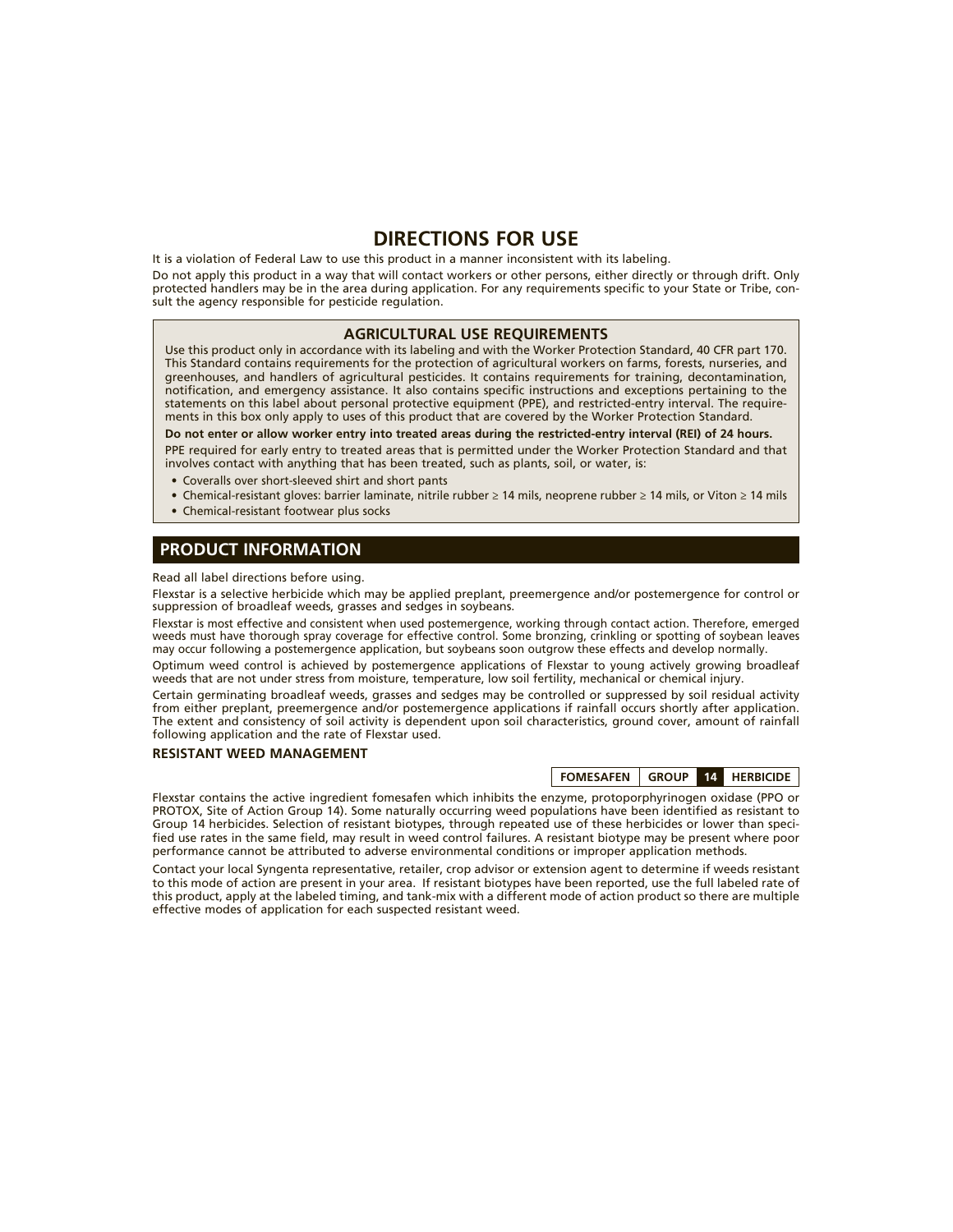## **DIRECTIONS FOR USE**

It is a violation of Federal Law to use this product in a manner inconsistent with its labeling.

Do not apply this product in a way that will contact workers or other persons, either directly or through drift. Only protected handlers may be in the area during application. For any requirements specific to your State or Tribe, consult the agency responsible for pesticide regulation.

#### **AGRICULTURAL USE REQUIREMENTS**

Use this product only in accordance with its labeling and with the Worker Protection Standard, 40 CFR part 170. This Standard contains requirements for the protection of agricultural workers on farms, forests, nurseries, and greenhouses, and handlers of agricultural pesticides. It contains requirements for training, decontamination, notification, and emergency assistance. It also contains specific instructions and exceptions pertaining to the statements on this label about personal protective equipment (PPE), and restricted-entry interval. The requirements in this box only apply to uses of this product that are covered by the Worker Protection Standard.

**Do not enter or allow worker entry into treated areas during the restricted-entry interval (REI) of 24 hours.** PPE required for early entry to treated areas that is permitted under the Worker Protection Standard and that

- involves contact with anything that has been treated, such as plants, soil, or water, is:
- Coveralls over short-sleeved shirt and short pants
- Chemical-resistant gloves: barrier laminate, nitrile rubber ≥ 14 mils, neoprene rubber ≥ 14 mils, or Viton ≥ 14 mils
- Chemical-resistant footwear plus socks

#### **PRODUCT INFORMATION**

Read all label directions before using.

Flexstar is a selective herbicide which may be applied preplant, preemergence and/or postemergence for control or suppression of broadleaf weeds, grasses and sedges in soybeans.

Flexstar is most effective and consistent when used postemergence, working through contact action. Therefore, emerged weeds must have thorough spray coverage for effective control. Some bronzing, crinkling or spotting of soybean leaves may occur following a postemergence application, but soybeans soon outgrow these effects and develop normally.

Optimum weed control is achieved by postemergence applications of Flexstar to young actively growing broadleaf weeds that are not under stress from moisture, temperature, low soil fertility, mechanical or chemical injury.

Certain germinating broadleaf weeds, grasses and sedges may be controlled or suppressed by soil residual activity from either preplant, preemergence and/or postemergence applications if rainfall occurs shortly after application. The extent and consistency of soil activity is dependent upon soil characteristics, ground cover, amount of rainfall following application and the rate of Flexstar used.

#### **RESISTANT WEED MANAGEMENT**

**FOMESAFEN GROUP 14 HERBICIDE**

Flexstar contains the active ingredient fomesafen which inhibits the enzyme, protoporphyrinogen oxidase (PPO or PROTOX, Site of Action Group 14). Some naturally occurring weed populations have been identified as resistant to Group 14 herbicides. Selection of resistant biotypes, through repeated use of these herbicides or lower than specified use rates in the same field, may result in weed control failures. A resistant biotype may be present where poor performance cannot be attributed to adverse environmental conditions or improper application methods.

Contact your local Syngenta representative, retailer, crop advisor or extension agent to determine if weeds resistant to this mode of action are present in your area. If resistant biotypes have been reported, use the full labeled rate of this product, apply at the labeled timing, and tank-mix with a different mode of action product so there are multiple effective modes of application for each suspected resistant weed.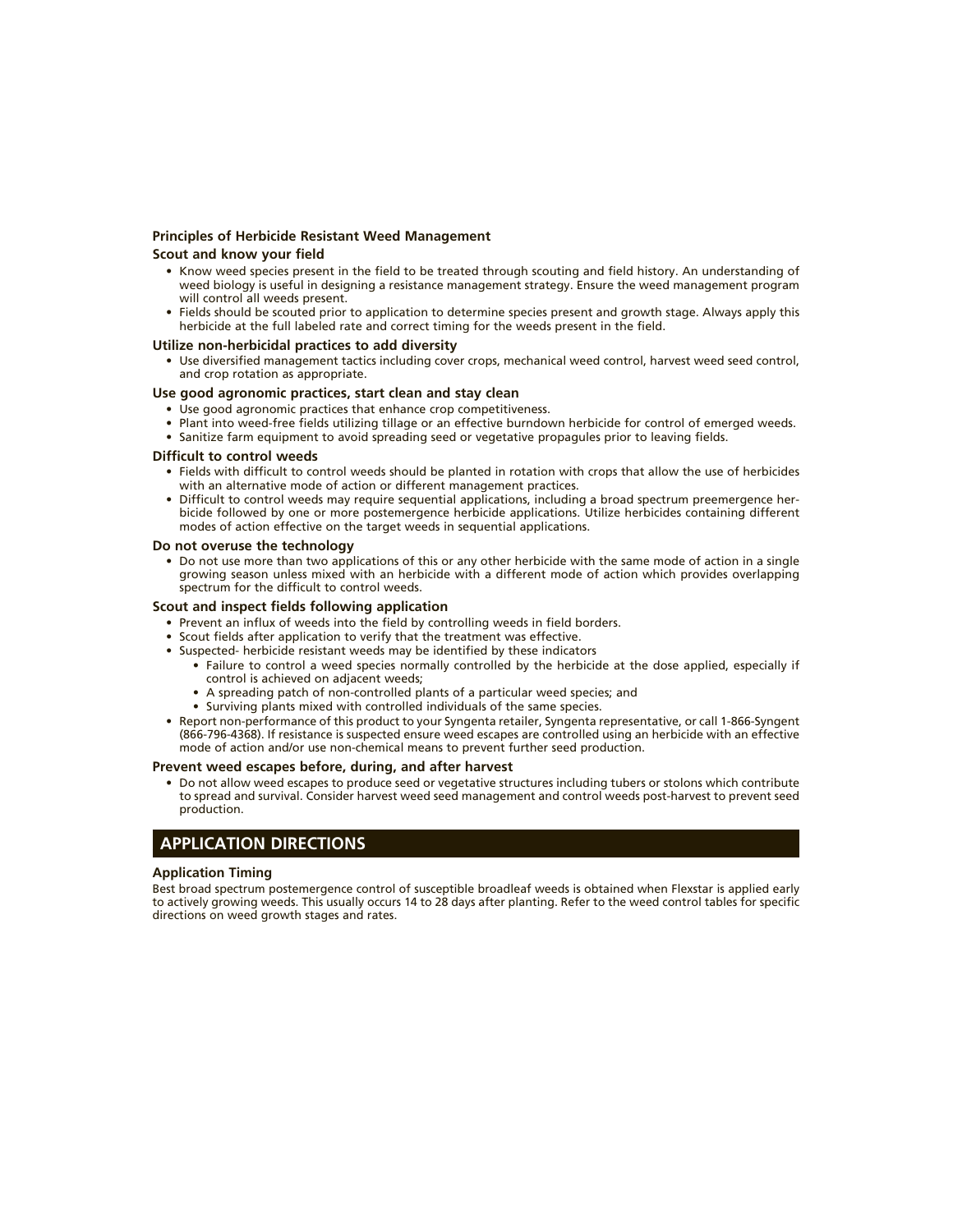#### **Principles of Herbicide Resistant Weed Management Scout and know your field**

- Know weed species present in the field to be treated through scouting and field history. An understanding of weed biology is useful in designing a resistance management strategy. Ensure the weed management program will control all weeds present.
- Fields should be scouted prior to application to determine species present and growth stage. Always apply this herbicide at the full labeled rate and correct timing for the weeds present in the field.

#### **Utilize non-herbicidal practices to add diversity**

• Use diversified management tactics including cover crops, mechanical weed control, harvest weed seed control, and crop rotation as appropriate.

#### **Use good agronomic practices, start clean and stay clean**

- Use good agronomic practices that enhance crop competitiveness.
- Plant into weed-free fields utilizing tillage or an effective burndown herbicide for control of emerged weeds.
- Sanitize farm equipment to avoid spreading seed or vegetative propagules prior to leaving fields.

#### **Difficult to control weeds**

- Fields with difficult to control weeds should be planted in rotation with crops that allow the use of herbicides with an alternative mode of action or different management practices.
- Difficult to control weeds may require sequential applications, including a broad spectrum preemergence herbicide followed by one or more postemergence herbicide applications. Utilize herbicides containing different modes of action effective on the target weeds in sequential applications.

#### **Do not overuse the technology**

• Do not use more than two applications of this or any other herbicide with the same mode of action in a single growing season unless mixed with an herbicide with a different mode of action which provides overlapping spectrum for the difficult to control weeds.

#### **Scout and inspect fields following application**

- Prevent an influx of weeds into the field by controlling weeds in field borders.
- Scout fields after application to verify that the treatment was effective.
- Suspected- herbicide resistant weeds may be identified by these indicators
	- Failure to control a weed species normally controlled by the herbicide at the dose applied, especially if control is achieved on adjacent weeds;
	- A spreading patch of non-controlled plants of a particular weed species; and
	- Surviving plants mixed with controlled individuals of the same species.
- Report non-performance of this product to your Syngenta retailer, Syngenta representative, or call 1-866-Syngent (866-796-4368). If resistance is suspected ensure weed escapes are controlled using an herbicide with an effective mode of action and/or use non-chemical means to prevent further seed production.

#### **Prevent weed escapes before, during, and after harvest**

• Do not allow weed escapes to produce seed or vegetative structures including tubers or stolons which contribute to spread and survival. Consider harvest weed seed management and control weeds post-harvest to prevent seed production.

#### **APPLICATION DIRECTIONS**

#### **Application Timing**

Best broad spectrum postemergence control of susceptible broadleaf weeds is obtained when Flexstar is applied early to actively growing weeds. This usually occurs 14 to 28 days after planting. Refer to the weed control tables for specific directions on weed growth stages and rates.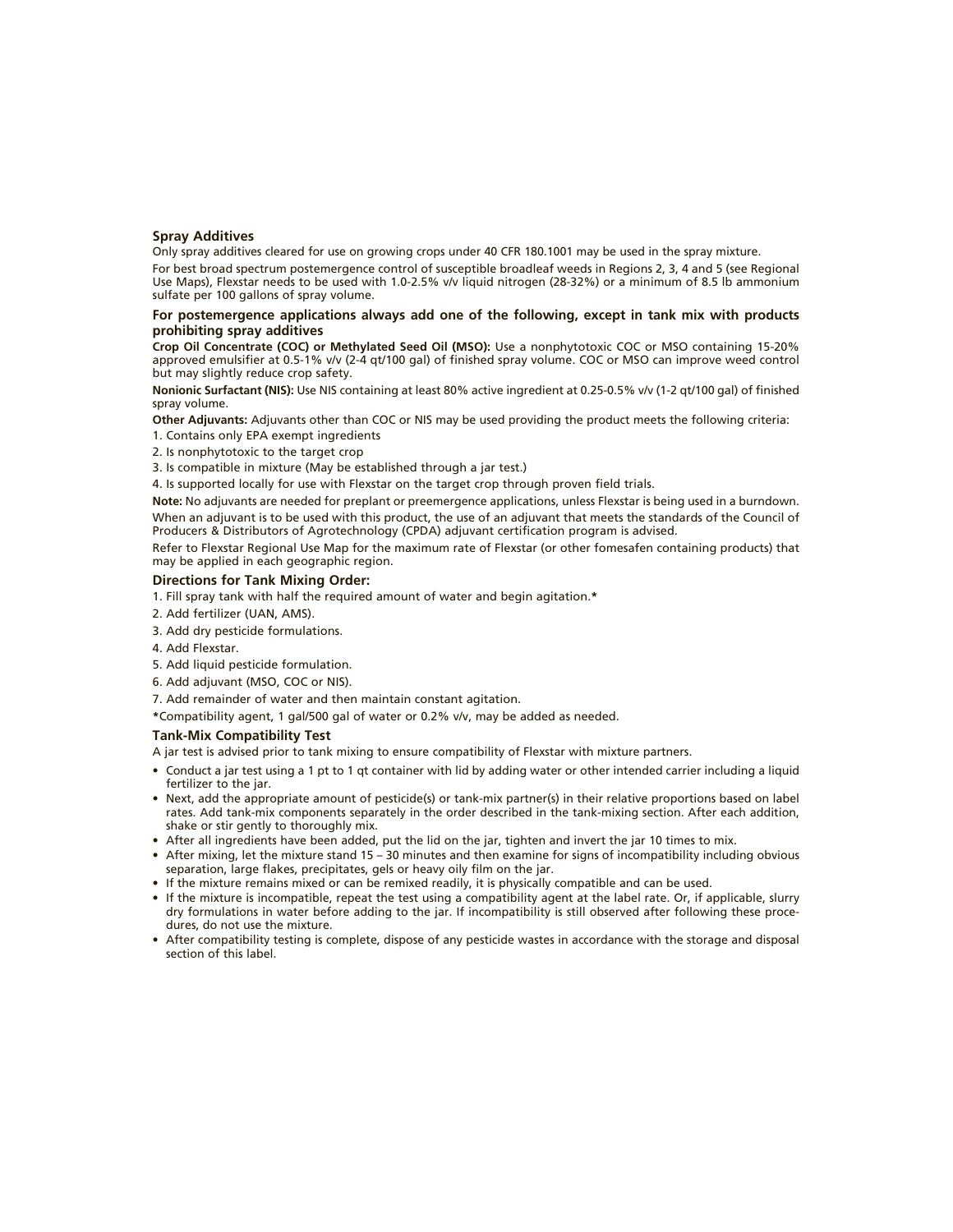#### **Spray Additives**

Only spray additives cleared for use on growing crops under 40 CFR 180.1001 may be used in the spray mixture.

For best broad spectrum postemergence control of susceptible broadleaf weeds in Regions 2, 3, 4 and 5 (see Regional Use Maps), Flexstar needs to be used with 1.0-2.5% v/v liquid nitrogen (28-32%) or a minimum of 8.5 lb ammonium sulfate per 100 gallons of spray volume.

#### **For postemergence applications always add one of the following, except in tank mix with products prohibiting spray additives**

**Crop Oil Concentrate (COC) or Methylated Seed Oil (MSO):** Use a nonphytotoxic COC or MSO containing 15-20% approved emulsifier at 0.5-1% v/v (2-4 qt/100 gal) of finished spray volume. COC or MSO can improve weed control but may slightly reduce crop safety.

**Nonionic Surfactant (NIS):** Use NIS containing at least 80% active ingredient at 0.25-0.5% v/v (1-2 qt/100 gal) of finished spray volume.

**Other Adjuvants:** Adjuvants other than COC or NIS may be used providing the product meets the following criteria:

- 1. Contains only EPA exempt ingredients
- 2. Is nonphytotoxic to the target crop
- 3. Is compatible in mixture (May be established through a jar test.)

4. Is supported locally for use with Flexstar on the target crop through proven field trials.

**Note:** No adjuvants are needed for preplant or preemergence applications, unless Flexstar is being used in a burndown. When an adjuvant is to be used with this product, the use of an adjuvant that meets the standards of the Council of Producers & Distributors of Agrotechnology (CPDA) adjuvant certification program is advised.

Refer to Flexstar Regional Use Map for the maximum rate of Flexstar (or other fomesafen containing products) that may be applied in each geographic region.

#### **Directions for Tank Mixing Order:**

- 1. Fill spray tank with half the required amount of water and begin agitation.**\***
- 2. Add fertilizer (UAN, AMS).
- 3. Add dry pesticide formulations.
- 4. Add Flexstar.
- 5. Add liquid pesticide formulation.
- 6. Add adjuvant (MSO, COC or NIS).
- 7. Add remainder of water and then maintain constant agitation.
- **\***Compatibility agent, 1 gal/500 gal of water or 0.2% v/v, may be added as needed.

#### **Tank-Mix Compatibility Test**

A jar test is advised prior to tank mixing to ensure compatibility of Flexstar with mixture partners.

- Conduct a jar test using a 1 pt to 1 qt container with lid by adding water or other intended carrier including a liquid fertilizer to the jar.
- Next, add the appropriate amount of pesticide(s) or tank-mix partner(s) in their relative proportions based on label rates. Add tank-mix components separately in the order described in the tank-mixing section. After each addition, shake or stir gently to thoroughly mix.
- After all ingredients have been added, put the lid on the jar, tighten and invert the jar 10 times to mix.
- After mixing, let the mixture stand 15 30 minutes and then examine for signs of incompatibility including obvious separation, large flakes, precipitates, gels or heavy oily film on the jar.
- If the mixture remains mixed or can be remixed readily, it is physically compatible and can be used.
- If the mixture is incompatible, repeat the test using a compatibility agent at the label rate. Or, if applicable, slurry dry formulations in water before adding to the jar. If incompatibility is still observed after following these procedures, do not use the mixture.
- After compatibility testing is complete, dispose of any pesticide wastes in accordance with the storage and disposal section of this label.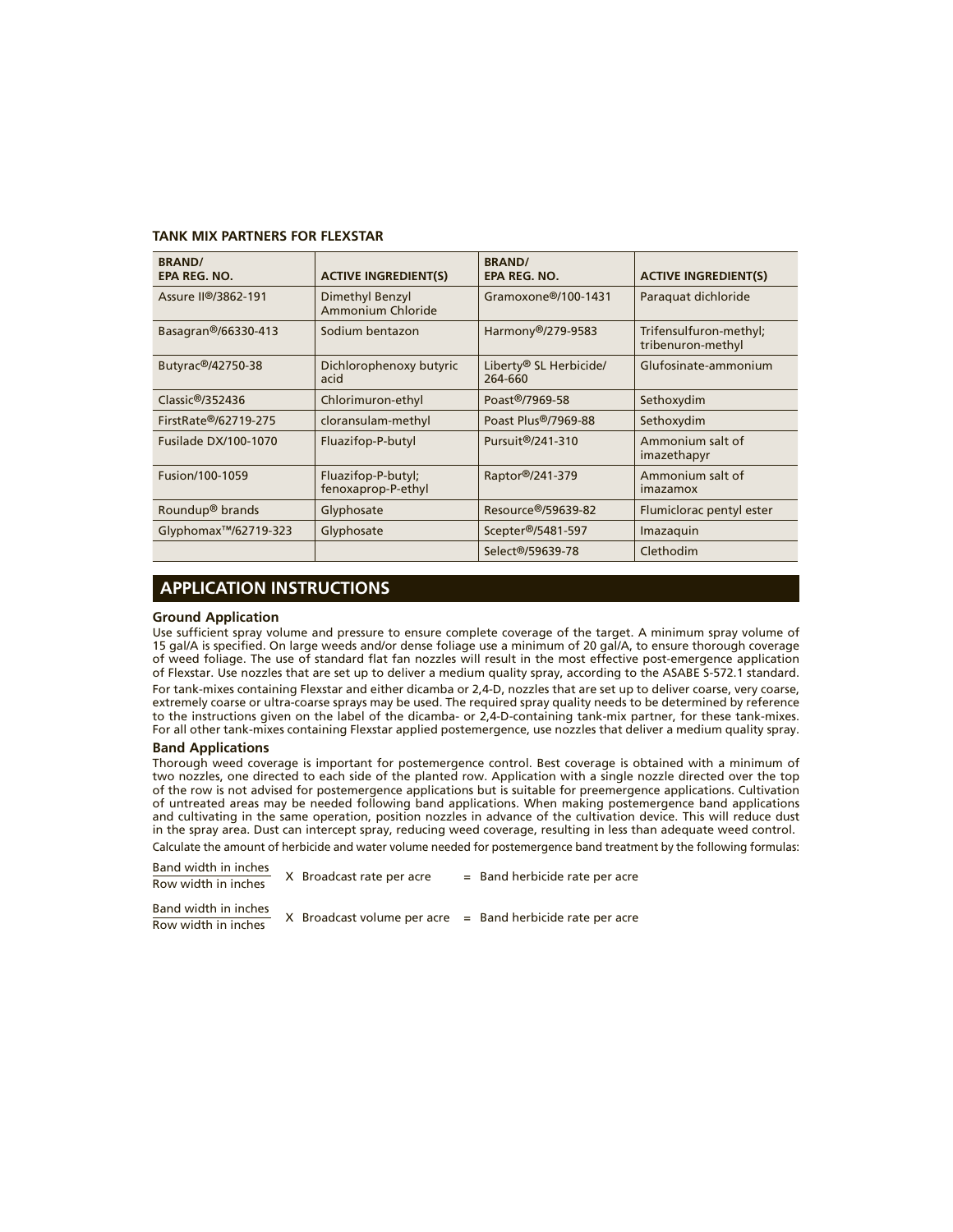#### **TANK MIX PARTNERS FOR FLEXSTAR**

| <b>BRAND/</b><br>EPA REG. NO.     | <b>ACTIVE INGREDIENT(S)</b>              | <b>BRAND/</b><br>EPA REG. NO.     | <b>ACTIVE INGREDIENT(S)</b>                 |
|-----------------------------------|------------------------------------------|-----------------------------------|---------------------------------------------|
| Assure II <sup>®</sup> /3862-191  | Dimethyl Benzyl<br>Ammonium Chloride     | Gramoxone <sup>®</sup> /100-1431  | Paraguat dichloride                         |
| Basagran®/66330-413               | Sodium bentazon                          | Harmony®/279-9583                 | Trifensulfuron-methyl;<br>tribenuron-methyl |
| Butyrac®/42750-38                 | Dichlorophenoxy butyric<br>acid          | Liberty® SL Herbicide/<br>264-660 | Glufosinate-ammonium                        |
| Classic@/352436                   | Chlorimuron-ethyl                        | Poast <sup>®</sup> /7969-58       | Sethoxydim                                  |
| FirstRate®/62719-275              | cloransulam-methyl                       | Poast Plus®/7969-88               | Sethoxydim                                  |
| <b>Fusilade DX/100-1070</b>       | Fluazifop-P-butyl                        | Pursuit <sup>®</sup> /241-310     | Ammonium salt of<br>imazethapyr             |
| Fusion/100-1059                   | Fluazifop-P-butyl;<br>fenoxaprop-P-ethyl | Raptor®/241-379                   | Ammonium salt of<br>imazamox                |
| Roundup <sup>®</sup> brands       | Glyphosate                               | Resource <sup>®</sup> /59639-82   | Flumiclorac pentyl ester                    |
| Glyphomax <sup>™</sup> /62719-323 | Glyphosate                               | Scepter®/5481-597                 | Imazaquin                                   |
|                                   |                                          | Select <sup>®</sup> /59639-78     | Clethodim                                   |

## **APPLICATION INSTRUCTIONS**

#### **Ground Application**

Use sufficient spray volume and pressure to ensure complete coverage of the target. A minimum spray volume of 15 gal/A is specified. On large weeds and/or dense foliage use a minimum of 20 gal/A, to ensure thorough coverage of weed foliage. The use of standard flat fan nozzles will result in the most effective post-emergence application of Flexstar. Use nozzles that are set up to deliver a medium quality spray, according to the ASABE S-572.1 standard.

For tank-mixes containing Flexstar and either dicamba or 2,4-D, nozzles that are set up to deliver coarse, very coarse, extremely coarse or ultra-coarse sprays may be used. The required spray quality needs to be determined by reference to the instructions given on the label of the dicamba- or 2,4-D-containing tank-mix partner, for these tank-mixes. For all other tank-mixes containing Flexstar applied postemergence, use nozzles that deliver a medium quality spray.

#### **Band Applications**

Thorough weed coverage is important for postemergence control. Best coverage is obtained with a minimum of two nozzles, one directed to each side of the planted row. Application with a single nozzle directed over the top of the row is not advised for postemergence applications but is suitable for preemergence applications. Cultivation of untreated areas may be needed following band applications. When making postemergence band applications and cultivating in the same operation, position nozzles in advance of the cultivation device. This will reduce dust in the spray area. Dust can intercept spray, reducing weed coverage, resulting in less than adequate weed control.

Calculate the amount of herbicide and water volume needed for postemergence band treatment by the following formulas:

| Band width in inches |                           | $=$ Band herbicide rate per acre                               |
|----------------------|---------------------------|----------------------------------------------------------------|
| Row width in inches  | X Broadcast rate per acre |                                                                |
| Band width in inches |                           |                                                                |
| Row width in inches  |                           | $X$ Broadcast volume per acre $=$ Band herbicide rate per acre |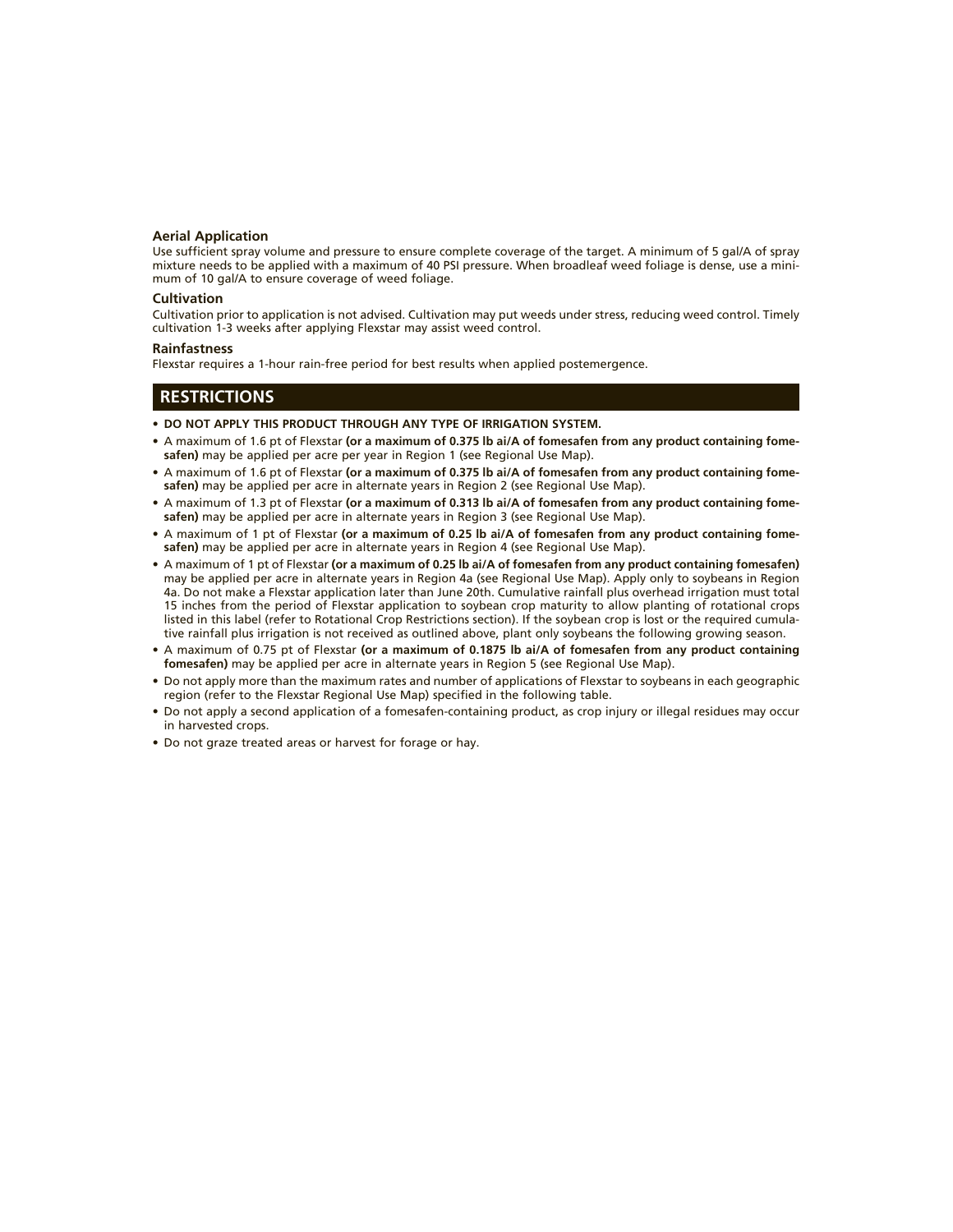#### **Aerial Application**

Use sufficient spray volume and pressure to ensure complete coverage of the target. A minimum of 5 gal/A of spray mixture needs to be applied with a maximum of 40 PSI pressure. When broadleaf weed foliage is dense, use a minimum of 10 gal/A to ensure coverage of weed foliage.

#### **Cultivation**

Cultivation prior to application is not advised. Cultivation may put weeds under stress, reducing weed control. Timely cultivation 1-3 weeks after applying Flexstar may assist weed control.

#### **Rainfastness**

Flexstar requires a 1-hour rain-free period for best results when applied postemergence.

#### **RESTRICTIONS**

- **DO NOT APPLY THIS PRODUCT THROUGH ANY TYPE OF IRRIGATION SYSTEM.**
- A maximum of 1.6 pt of Flexstar **(or a maximum of 0.375 lb ai/A of fomesafen from any product containing fomesafen)** may be applied per acre per year in Region 1 (see Regional Use Map).
- A maximum of 1.6 pt of Flexstar **(or a maximum of 0.375 lb ai/A of fomesafen from any product containing fomesafen)** may be applied per acre in alternate years in Region 2 (see Regional Use Map).
- A maximum of 1.3 pt of Flexstar **(or a maximum of 0.313 lb ai/A of fomesafen from any product containing fomesafen)** may be applied per acre in alternate years in Region 3 (see Regional Use Map).
- A maximum of 1 pt of Flexstar **(or a maximum of 0.25 lb ai/A of fomesafen from any product containing fome**safen) may be applied per acre in alternate years in Region 4 (see Regional Use Map).
- A maximum of 1 pt of Flexstar **(or a maximum of 0.25 lb ai/A of fomesafen from any product containing fomesafen)**  may be applied per acre in alternate years in Region 4a (see Regional Use Map). Apply only to soybeans in Region 4a. Do not make a Flexstar application later than June 20th. Cumulative rainfall plus overhead irrigation must total 15 inches from the period of Flexstar application to soybean crop maturity to allow planting of rotational crops listed in this label (refer to Rotational Crop Restrictions section). If the soybean crop is lost or the required cumulative rainfall plus irrigation is not received as outlined above, plant only soybeans the following growing season.
- A maximum of 0.75 pt of Flexstar **(or a maximum of 0.1875 lb ai/A of fomesafen from any product containing fomesafen)** may be applied per acre in alternate years in Region 5 (see Regional Use Map).
- Do not apply more than the maximum rates and number of applications of Flexstar to soybeans in each geographic region (refer to the Flexstar Regional Use Map) specified in the following table.
- Do not apply a second application of a fomesafen-containing product, as crop injury or illegal residues may occur in harvested crops.
- Do not graze treated areas or harvest for forage or hay.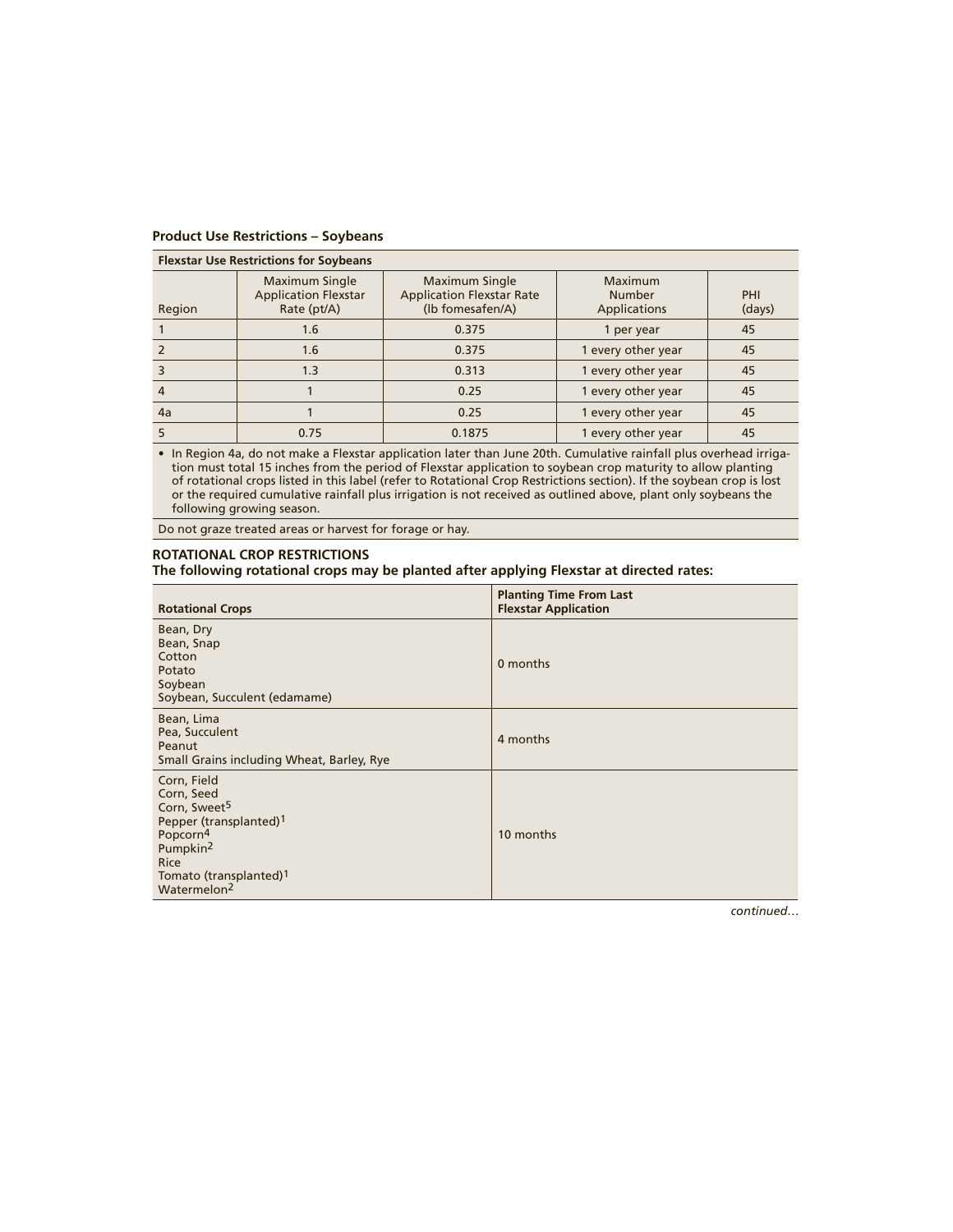| <b>Flexstar Use Restrictions for Soybeans</b> |                                                                     |                                                                        |                                          |               |
|-----------------------------------------------|---------------------------------------------------------------------|------------------------------------------------------------------------|------------------------------------------|---------------|
| Region                                        | <b>Maximum Single</b><br><b>Application Flexstar</b><br>Rate (pt/A) | Maximum Single<br><b>Application Flexstar Rate</b><br>(Ib fomesafen/A) | Maximum<br><b>Number</b><br>Applications | PHI<br>(days) |
|                                               | 1.6                                                                 | 0.375                                                                  | 1 per year                               | 45            |
|                                               | 1.6                                                                 | 0.375                                                                  | 1 every other year                       | 45            |
|                                               | 1.3                                                                 | 0.313                                                                  | 1 every other year                       | 45            |
|                                               |                                                                     | 0.25                                                                   | 1 every other year                       | 45            |
| 4a                                            |                                                                     | 0.25                                                                   | 1 every other year                       | 45            |
|                                               | 0.75                                                                | 0.1875                                                                 | 1 every other year                       | 45            |

#### **Product Use Restrictions – Soybeans**

• In Region 4a, do not make a Flexstar application later than June 20th. Cumulative rainfall plus overhead irrigation must total 15 inches from the period of Flexstar application to soybean crop maturity to allow planting of rotational crops listed in this label (refer to Rotational Crop Restrictions section). If the soybean crop is lost or the required cumulative rainfall plus irrigation is not received as outlined above, plant only soybeans the following growing season.

Do not graze treated areas or harvest for forage or hay.

#### **ROTATIONAL CROP RESTRICTIONS**

**The following rotational crops may be planted after applying Flexstar at directed rates:**

| <b>Rotational Crops</b>                                                                                                                                                                                                     | <b>Planting Time From Last</b><br><b>Flexstar Application</b> |
|-----------------------------------------------------------------------------------------------------------------------------------------------------------------------------------------------------------------------------|---------------------------------------------------------------|
| Bean, Dry<br>Bean, Snap<br>Cotton<br>Potato<br>Soybean<br>Soybean, Succulent (edamame)                                                                                                                                      | 0 months                                                      |
| Bean, Lima<br>Pea, Succulent<br>Peanut<br>Small Grains including Wheat, Barley, Rye                                                                                                                                         | 4 months                                                      |
| Corn, Field<br>Corn, Seed<br>Corn, Sweet <sup>5</sup><br>Pepper (transplanted) <sup>1</sup><br>Popcorn <sup>4</sup><br>Pumpkin <sup>2</sup><br><b>Rice</b><br>Tomato (transplanted) <sup>1</sup><br>Watermelon <sup>2</sup> | 10 months                                                     |

*continued…*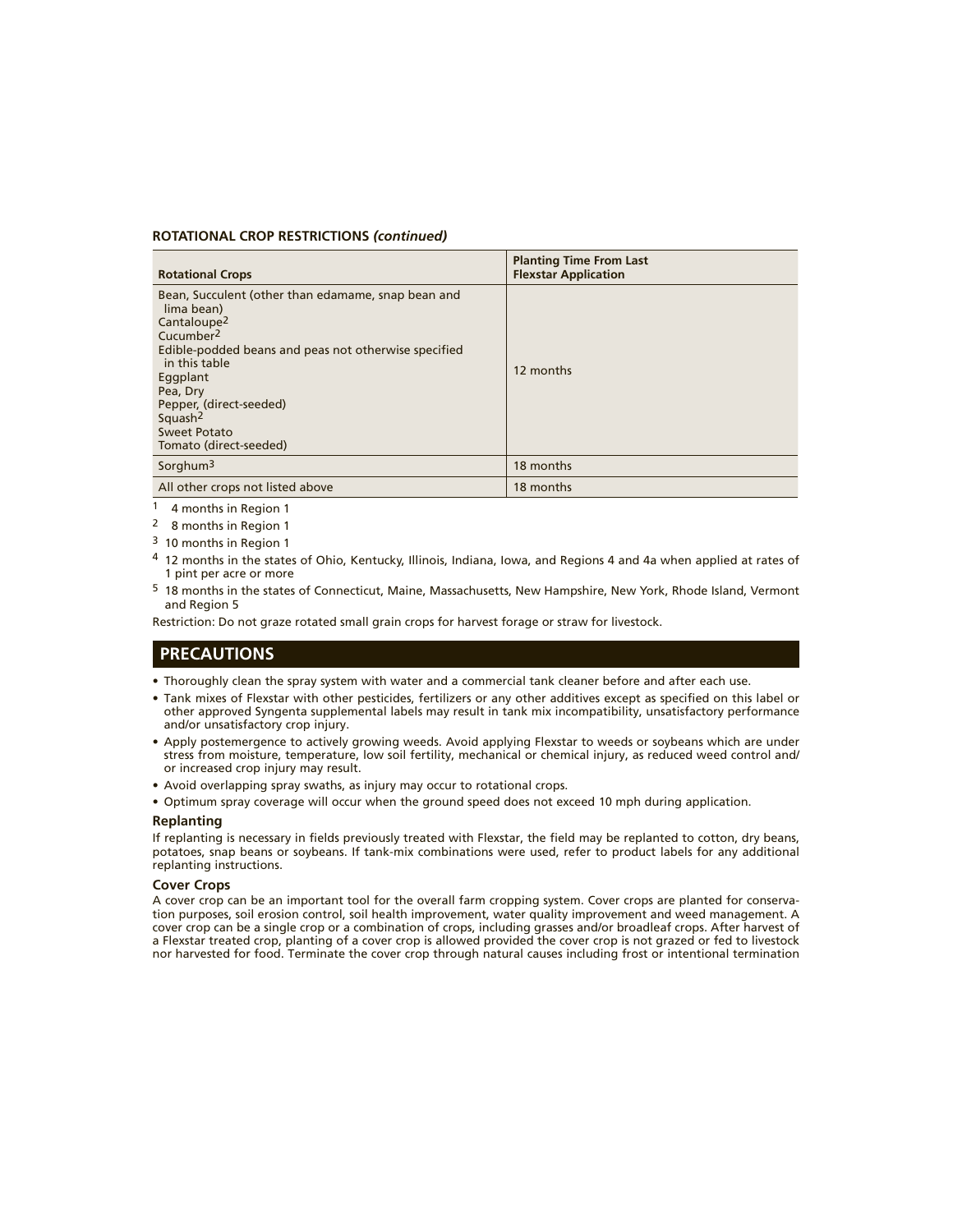#### **ROTATIONAL CROP RESTRICTIONS** *(continued)*

| <b>Rotational Crops</b>                                                                                                                                                                                                                                                                                           | <b>Planting Time From Last</b><br><b>Flexstar Application</b> |
|-------------------------------------------------------------------------------------------------------------------------------------------------------------------------------------------------------------------------------------------------------------------------------------------------------------------|---------------------------------------------------------------|
| Bean, Succulent (other than edamame, snap bean and<br>lima bean)<br>Cantaloupe <sup>2</sup><br>Cucumber <sup>2</sup><br>Edible-podded beans and peas not otherwise specified<br>in this table<br>Eggplant<br>Pea, Dry<br>Pepper, (direct-seeded)<br>Squash <sup>2</sup><br>Sweet Potato<br>Tomato (direct-seeded) | 12 months                                                     |
| Sorghum <sup>3</sup>                                                                                                                                                                                                                                                                                              | 18 months                                                     |
| All other crops not listed above                                                                                                                                                                                                                                                                                  | 18 months                                                     |

1 4 months in Region 1

2 8 months in Region 1

3 10 months in Region 1

- 4 12 months in the states of Ohio, Kentucky, Illinois, Indiana, Iowa, and Regions 4 and 4a when applied at rates of 1 pint per acre or more
- 5 18 months in the states of Connecticut, Maine, Massachusetts, New Hampshire, New York, Rhode Island, Vermont and Region 5

Restriction: Do not graze rotated small grain crops for harvest forage or straw for livestock.

## **PRECAUTIONS**

- Thoroughly clean the spray system with water and a commercial tank cleaner before and after each use.
- Tank mixes of Flexstar with other pesticides, fertilizers or any other additives except as specified on this label or other approved Syngenta supplemental labels may result in tank mix incompatibility, unsatisfactory performance and/or unsatisfactory crop injury.
- Apply postemergence to actively growing weeds. Avoid applying Flexstar to weeds or soybeans which are under stress from moisture, temperature, low soil fertility, mechanical or chemical injury, as reduced weed control and/ or increased crop injury may result.
- Avoid overlapping spray swaths, as injury may occur to rotational crops.
- Optimum spray coverage will occur when the ground speed does not exceed 10 mph during application.

#### **Replanting**

If replanting is necessary in fields previously treated with Flexstar, the field may be replanted to cotton, dry beans, potatoes, snap beans or soybeans. If tank-mix combinations were used, refer to product labels for any additional replanting instructions.

#### **Cover Crops**

A cover crop can be an important tool for the overall farm cropping system. Cover crops are planted for conservation purposes, soil erosion control, soil health improvement, water quality improvement and weed management. A cover crop can be a single crop or a combination of crops, including grasses and/or broadleaf crops. After harvest of a Flexstar treated crop, planting of a cover crop is allowed provided the cover crop is not grazed or fed to livestock nor harvested for food. Terminate the cover crop through natural causes including frost or intentional termination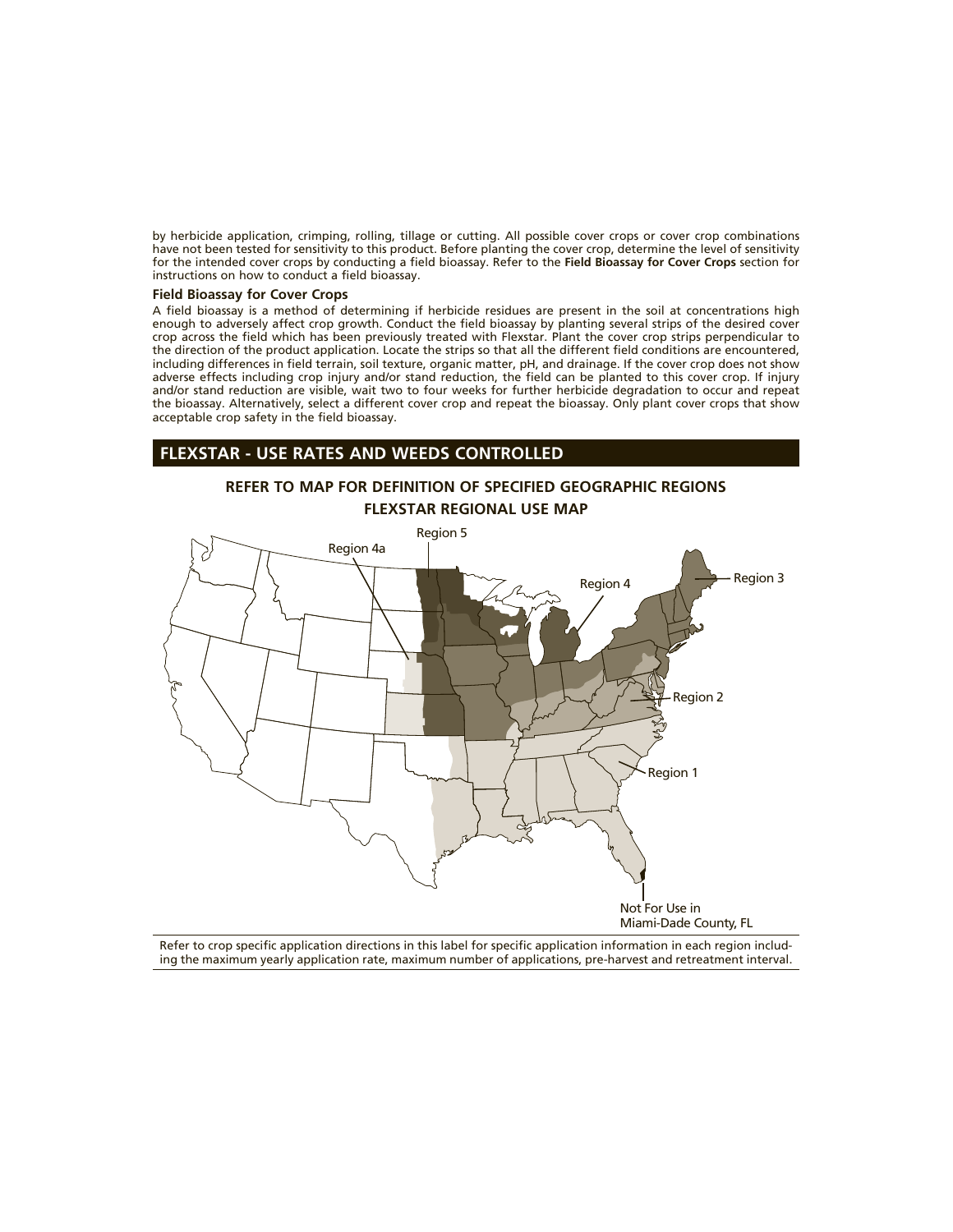by herbicide application, crimping, rolling, tillage or cutting. All possible cover crops or cover crop combinations have not been tested for sensitivity to this product. Before planting the cover crop, determine the level of sensitivity for the intended cover crops by conducting a field bioassay. Refer to the **Field Bioassay for Cover Crops** section for instructions on how to conduct a field bioassay.

#### **Field Bioassay for Cover Crops**

A field bioassay is a method of determining if herbicide residues are present in the soil at concentrations high enough to adversely affect crop growth. Conduct the field bioassay by planting several strips of the desired cover crop across the field which has been previously treated with Flexstar. Plant the cover crop strips perpendicular to the direction of the product application. Locate the strips so that all the different field conditions are encountered, including differences in field terrain, soil texture, organic matter, pH, and drainage. If the cover crop does not show adverse effects including crop injury and/or stand reduction, the field can be planted to this cover crop. If injury and/or stand reduction are visible, wait two to four weeks for further herbicide degradation to occur and repeat the bioassay. Alternatively, select a different cover crop and repeat the bioassay. Only plant cover crops that show acceptable crop safety in the field bioassay.

## **FLEXSTAR - USE RATES AND WEEDS CONTROLLED**

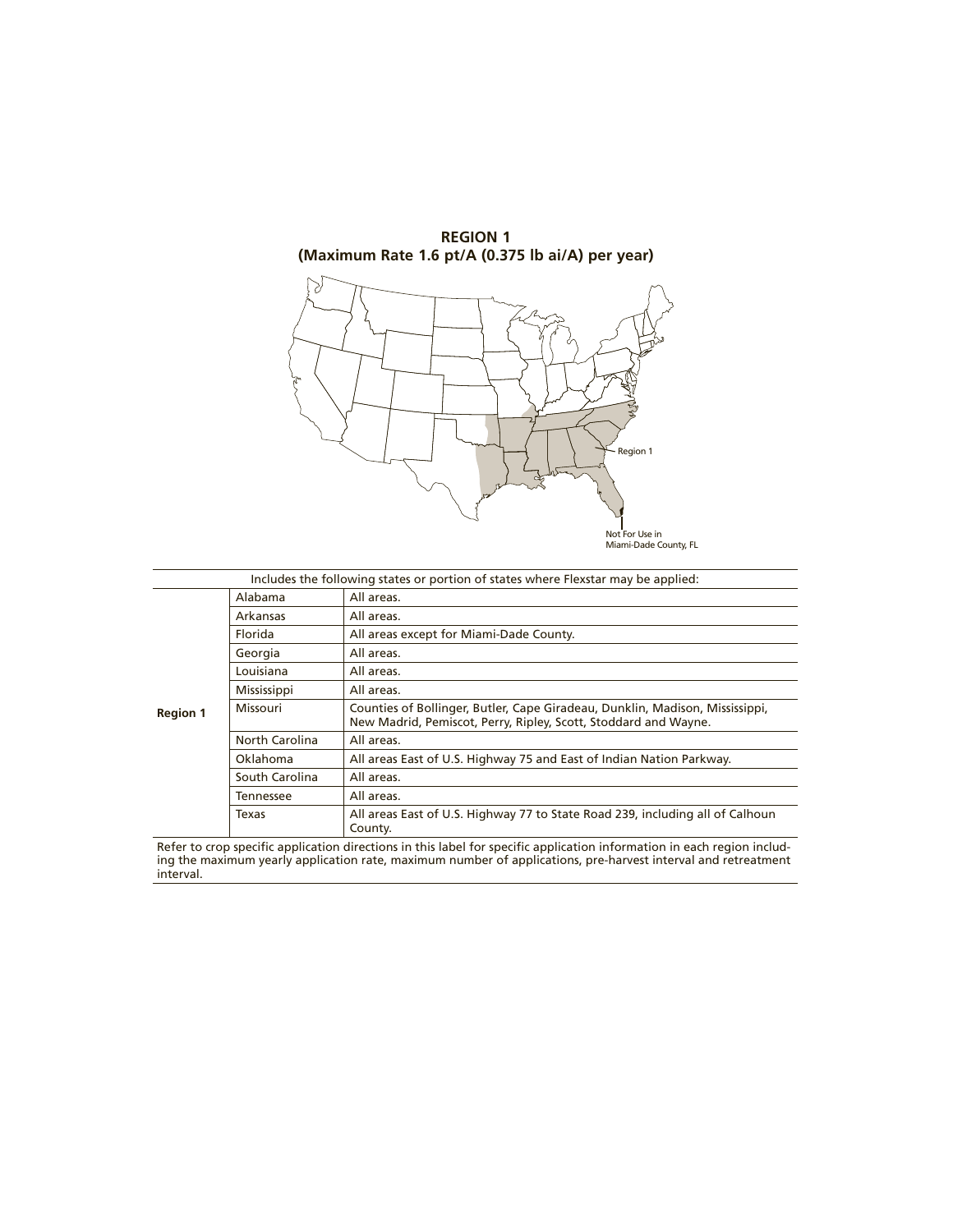

**REGION 1**

|                 |                    | Includes the following states or portion of states where Flexstar may be applied:                                                               |
|-----------------|--------------------|-------------------------------------------------------------------------------------------------------------------------------------------------|
|                 | Alabama            | All areas.                                                                                                                                      |
|                 | Arkansas           | All areas.                                                                                                                                      |
|                 | Florida            | All areas except for Miami-Dade County.                                                                                                         |
|                 | Georgia            | All areas.                                                                                                                                      |
|                 | Louisiana          | All areas.                                                                                                                                      |
|                 | <b>Mississippi</b> | All areas.                                                                                                                                      |
| <b>Region 1</b> | Missouri           | Counties of Bollinger, Butler, Cape Giradeau, Dunklin, Madison, Mississippi,<br>New Madrid, Pemiscot, Perry, Ripley, Scott, Stoddard and Wayne. |
|                 | North Carolina     | All areas.                                                                                                                                      |
|                 | Oklahoma           | All areas East of U.S. Highway 75 and East of Indian Nation Parkway.                                                                            |
|                 | South Carolina     | All areas.                                                                                                                                      |
|                 | <b>Tennessee</b>   | All areas.                                                                                                                                      |
|                 | Texas              | All areas East of U.S. Highway 77 to State Road 239, including all of Calhoun<br>County.                                                        |

Not For Use in Miami-Dade County, FL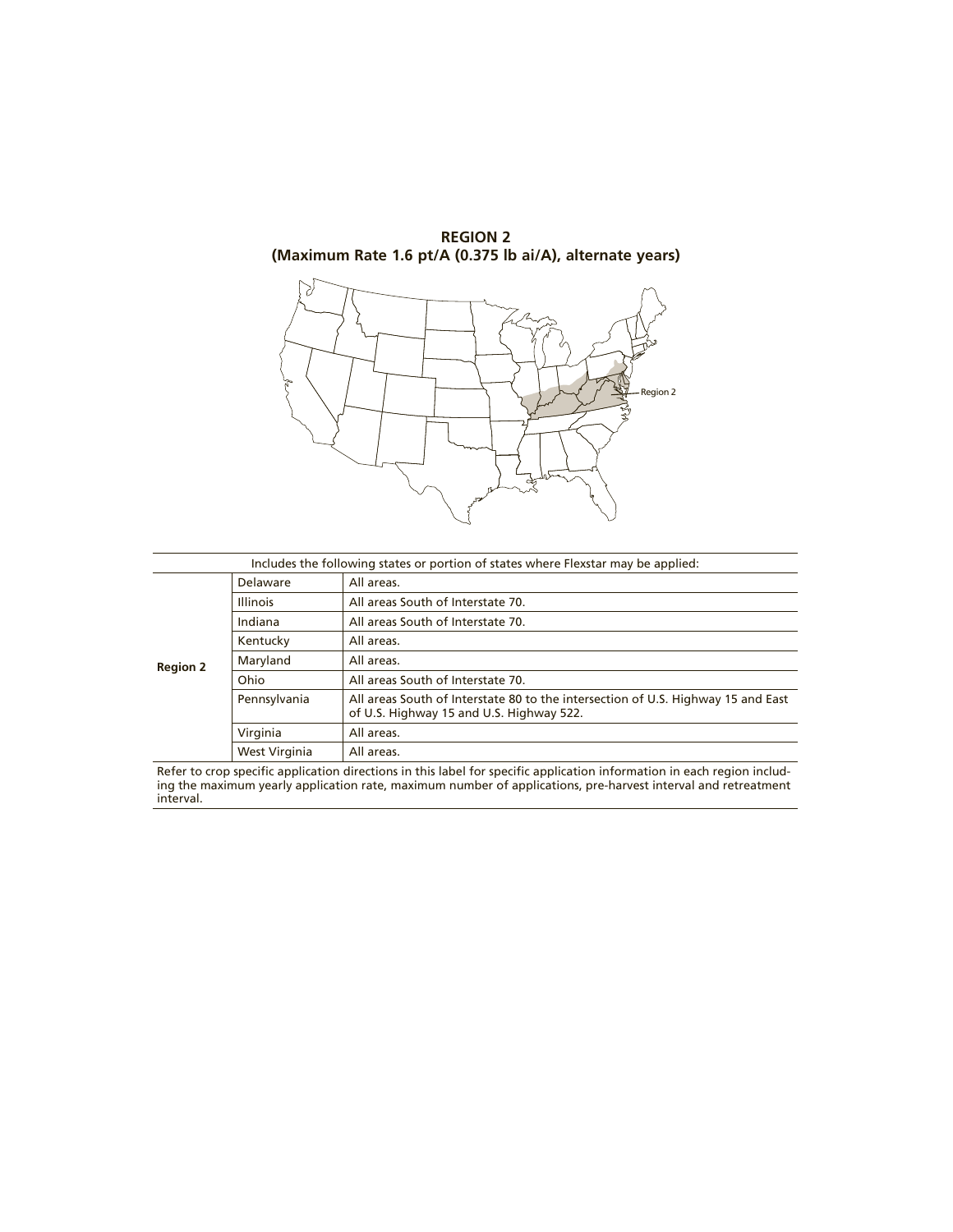



| Includes the following states or portion of states where Flexstar may be applied: |                 |                                                                                                                              |
|-----------------------------------------------------------------------------------|-----------------|------------------------------------------------------------------------------------------------------------------------------|
|                                                                                   | Delaware        | All areas.                                                                                                                   |
|                                                                                   | <b>Illinois</b> | All areas South of Interstate 70.                                                                                            |
|                                                                                   | Indiana         | All areas South of Interstate 70.                                                                                            |
| <b>Region 2</b>                                                                   | Kentucky        | All areas.                                                                                                                   |
|                                                                                   | Maryland        | All areas.                                                                                                                   |
|                                                                                   | Ohio            | All areas South of Interstate 70.                                                                                            |
|                                                                                   | Pennsylvania    | All areas South of Interstate 80 to the intersection of U.S. Highway 15 and East<br>of U.S. Highway 15 and U.S. Highway 522. |
|                                                                                   | Virginia        | All areas.                                                                                                                   |
|                                                                                   | West Virginia   | All areas.                                                                                                                   |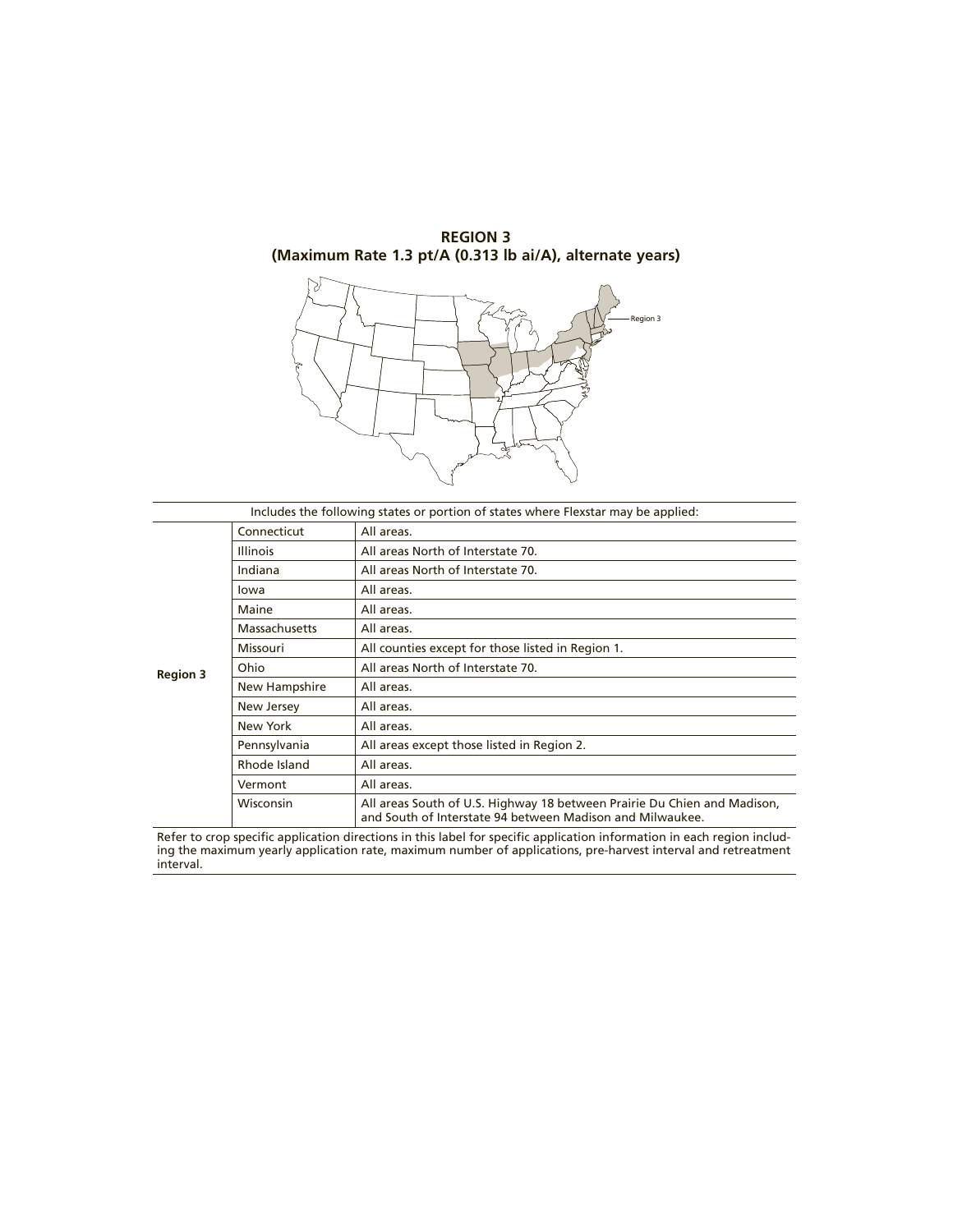## **REGION 3 (Maximum Rate 1.3 pt/A (0.313 lb ai/A), alternate years)**



|                 |                 | Includes the following states or portion of states where Flexstar may be applied:                                                     |
|-----------------|-----------------|---------------------------------------------------------------------------------------------------------------------------------------|
|                 | Connecticut     | All areas.                                                                                                                            |
|                 | <b>Illinois</b> | All areas North of Interstate 70.                                                                                                     |
|                 | Indiana         | All areas North of Interstate 70.                                                                                                     |
|                 | lowa            | All areas.                                                                                                                            |
|                 | Maine           | All areas.                                                                                                                            |
| <b>Region 3</b> | Massachusetts   | All areas.                                                                                                                            |
|                 | <b>Missouri</b> | All counties except for those listed in Region 1.                                                                                     |
|                 | Ohio            | All areas North of Interstate 70.                                                                                                     |
|                 | New Hampshire   | All areas.                                                                                                                            |
|                 | New Jersey      | All areas.                                                                                                                            |
|                 | New York        | All areas.                                                                                                                            |
|                 | Pennsylvania    | All areas except those listed in Region 2.                                                                                            |
|                 | Rhode Island    | All areas.                                                                                                                            |
|                 | Vermont         | All areas.                                                                                                                            |
|                 | Wisconsin       | All areas South of U.S. Highway 18 between Prairie Du Chien and Madison,<br>and South of Interstate 94 between Madison and Milwaukee. |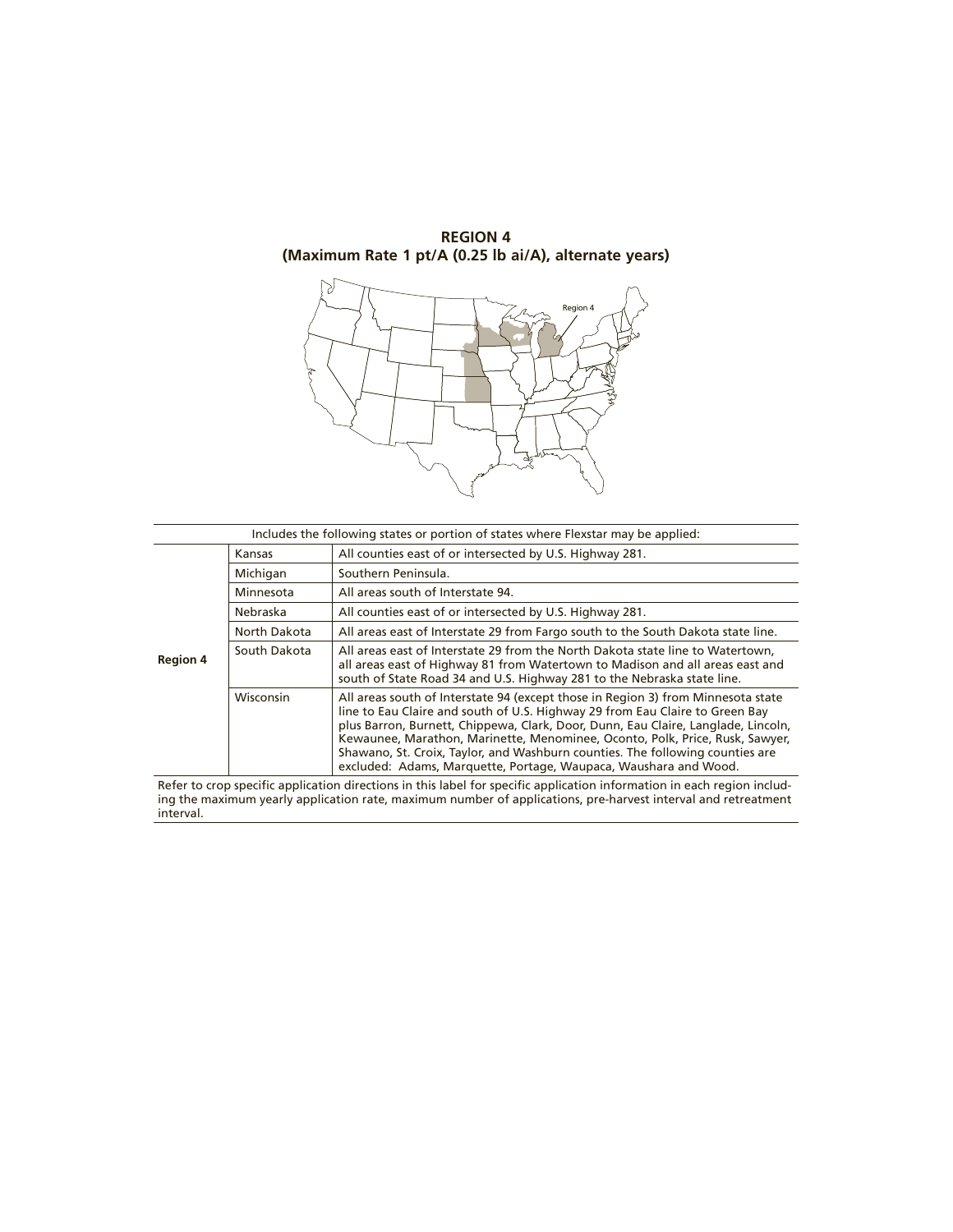## **REGION 4 (Maximum Rate 1 pt/A (0.25 lb ai/A), alternate years)**



| Includes the following states or portion of states where Flexstar may be applied: |              |                                                                                                                                                                                                                                                                                                                                                                                                                                                                                            |
|-----------------------------------------------------------------------------------|--------------|--------------------------------------------------------------------------------------------------------------------------------------------------------------------------------------------------------------------------------------------------------------------------------------------------------------------------------------------------------------------------------------------------------------------------------------------------------------------------------------------|
|                                                                                   | Kansas       | All counties east of or intersected by U.S. Highway 281.                                                                                                                                                                                                                                                                                                                                                                                                                                   |
|                                                                                   | Michigan     | Southern Peninsula.                                                                                                                                                                                                                                                                                                                                                                                                                                                                        |
|                                                                                   | Minnesota    | All areas south of Interstate 94.                                                                                                                                                                                                                                                                                                                                                                                                                                                          |
|                                                                                   | Nebraska     | All counties east of or intersected by U.S. Highway 281.                                                                                                                                                                                                                                                                                                                                                                                                                                   |
|                                                                                   | North Dakota | All areas east of Interstate 29 from Fargo south to the South Dakota state line.                                                                                                                                                                                                                                                                                                                                                                                                           |
| <b>Region 4</b>                                                                   | South Dakota | All areas east of Interstate 29 from the North Dakota state line to Watertown.<br>all areas east of Highway 81 from Watertown to Madison and all areas east and<br>south of State Road 34 and U.S. Highway 281 to the Nebraska state line.                                                                                                                                                                                                                                                 |
|                                                                                   | Wisconsin    | All areas south of Interstate 94 (except those in Region 3) from Minnesota state<br>line to Eau Claire and south of U.S. Highway 29 from Eau Claire to Green Bay<br>plus Barron, Burnett, Chippewa, Clark, Door, Dunn, Eau Claire, Langlade, Lincoln,<br>Kewaunee, Marathon, Marinette, Menominee, Oconto, Polk, Price, Rusk, Sawyer,<br>Shawano, St. Croix, Taylor, and Washburn counties. The following counties are<br>excluded: Adams, Marquette, Portage, Waupaca, Waushara and Wood. |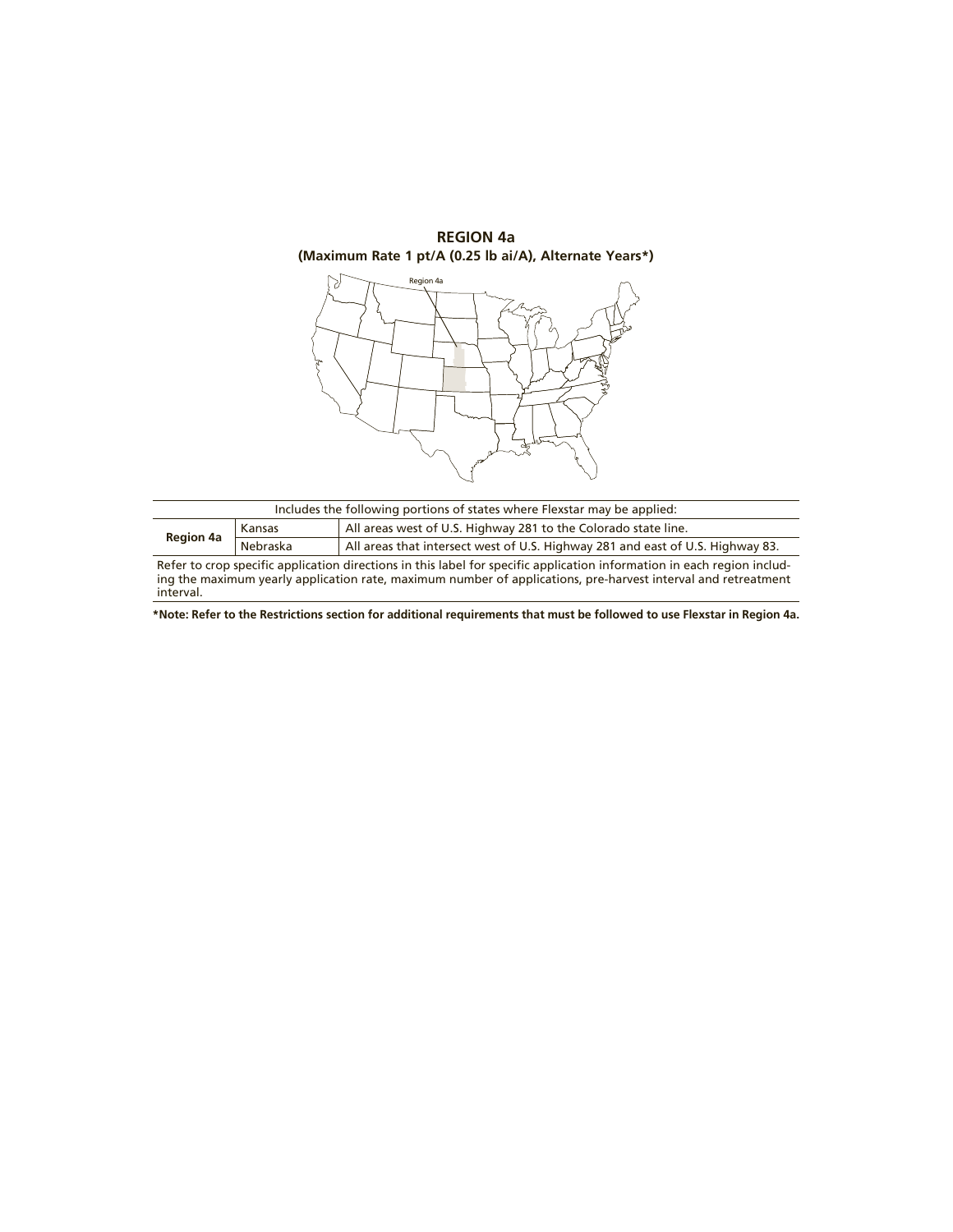

| Includes the following portions of states where Flexstar may be applied:                                                |          |                                                                                |  |
|-------------------------------------------------------------------------------------------------------------------------|----------|--------------------------------------------------------------------------------|--|
| All areas west of U.S. Highway 281 to the Colorado state line.<br>Kansas                                                |          |                                                                                |  |
| <b>Region 4a</b>                                                                                                        | Nebraska | All areas that intersect west of U.S. Highway 281 and east of U.S. Highway 83. |  |
| Refer to crop specific application directions in this label for specific application information in each region includ- |          |                                                                                |  |
| ing the maximum yearly application rate, maximum number of applications, pre-harvest interval and retreatment           |          |                                                                                |  |

interval.

**\*Note: Refer to the Restrictions section for additional requirements that must be followed to use Flexstar in Region 4a.**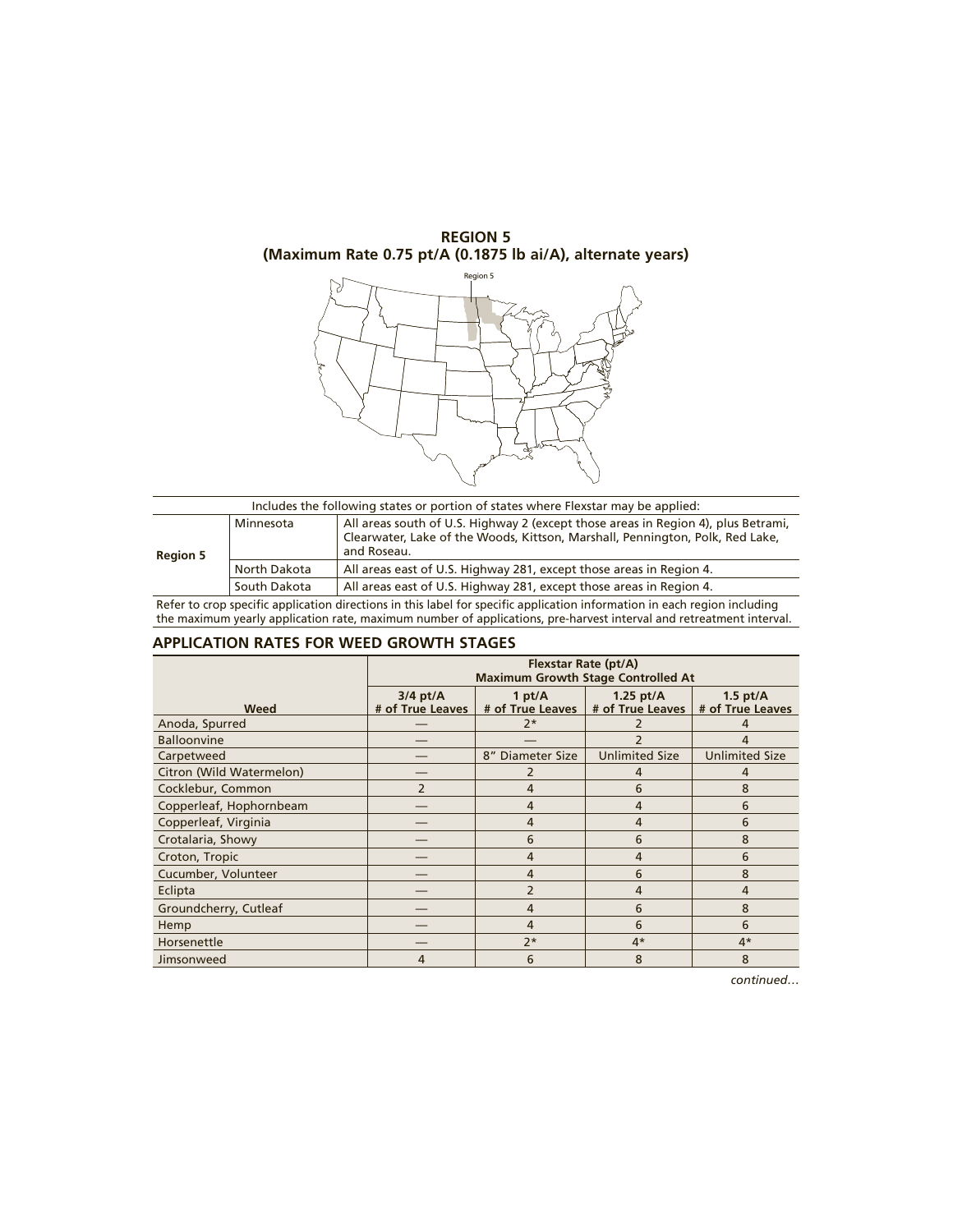**REGION 5 (Maximum Rate 0.75 pt/A (0.1875 lb ai/A), alternate years)**



| Includes the following states or portion of states where Flexstar may be applied: |              |                                                                                                                                                                                   |  |  |
|-----------------------------------------------------------------------------------|--------------|-----------------------------------------------------------------------------------------------------------------------------------------------------------------------------------|--|--|
| <b>Region 5</b>                                                                   | Minnesota    | All areas south of U.S. Highway 2 (except those areas in Region 4), plus Betrami,<br>Clearwater, Lake of the Woods, Kittson, Marshall, Pennington, Polk, Red Lake,<br>and Roseau. |  |  |
|                                                                                   | North Dakota | All areas east of U.S. Highway 281, except those areas in Region 4.                                                                                                               |  |  |
|                                                                                   | South Dakota | All areas east of U.S. Highway 281, except those areas in Region 4.                                                                                                               |  |  |

Refer to crop specific application directions in this label for specific application information in each region including the maximum yearly application rate, maximum number of applications, pre-harvest interval and retreatment interval.

#### **APPLICATION RATES FOR WEED GROWTH STAGES**

|                          | Flexstar Rate (pt/A)<br><b>Maximum Growth Stage Controlled At</b> |                               |                                 |                                |
|--------------------------|-------------------------------------------------------------------|-------------------------------|---------------------------------|--------------------------------|
| Weed                     | $3/4$ pt/A<br># of True Leaves                                    | 1 pt/ $A$<br># of True Leaves | 1.25 $pt/A$<br># of True Leaves | 1.5 $pt/A$<br># of True Leaves |
| Anoda, Spurred           |                                                                   | $2*$                          |                                 |                                |
| <b>Balloonvine</b>       |                                                                   |                               |                                 | 4                              |
| Carpetweed               |                                                                   | 8" Diameter Size              | <b>Unlimited Size</b>           | <b>Unlimited Size</b>          |
| Citron (Wild Watermelon) |                                                                   |                               | 4                               | 4                              |
| Cocklebur, Common        | $\overline{\phantom{a}}$                                          | 4                             | 6                               | 8                              |
| Copperleaf, Hophornbeam  |                                                                   | 4                             | 4                               | 6                              |
| Copperleaf, Virginia     |                                                                   | $\overline{4}$                | $\overline{4}$                  | 6                              |
| Crotalaria, Showy        |                                                                   | 6                             | 6                               | 8                              |
| Croton, Tropic           |                                                                   | 4                             | 4                               | 6                              |
| Cucumber, Volunteer      |                                                                   | 4                             | 6                               | 8                              |
| Eclipta                  |                                                                   | $\overline{2}$                | 4                               | 4                              |
| Groundcherry, Cutleaf    |                                                                   | 4                             | 6                               | 8                              |
| Hemp                     |                                                                   | 4                             | 6                               | 6                              |
| Horsenettle              |                                                                   | $7*$                          | $4*$                            | $4*$                           |
| Jimsonweed               | 4                                                                 | 6                             | 8                               | 8                              |

*continued…*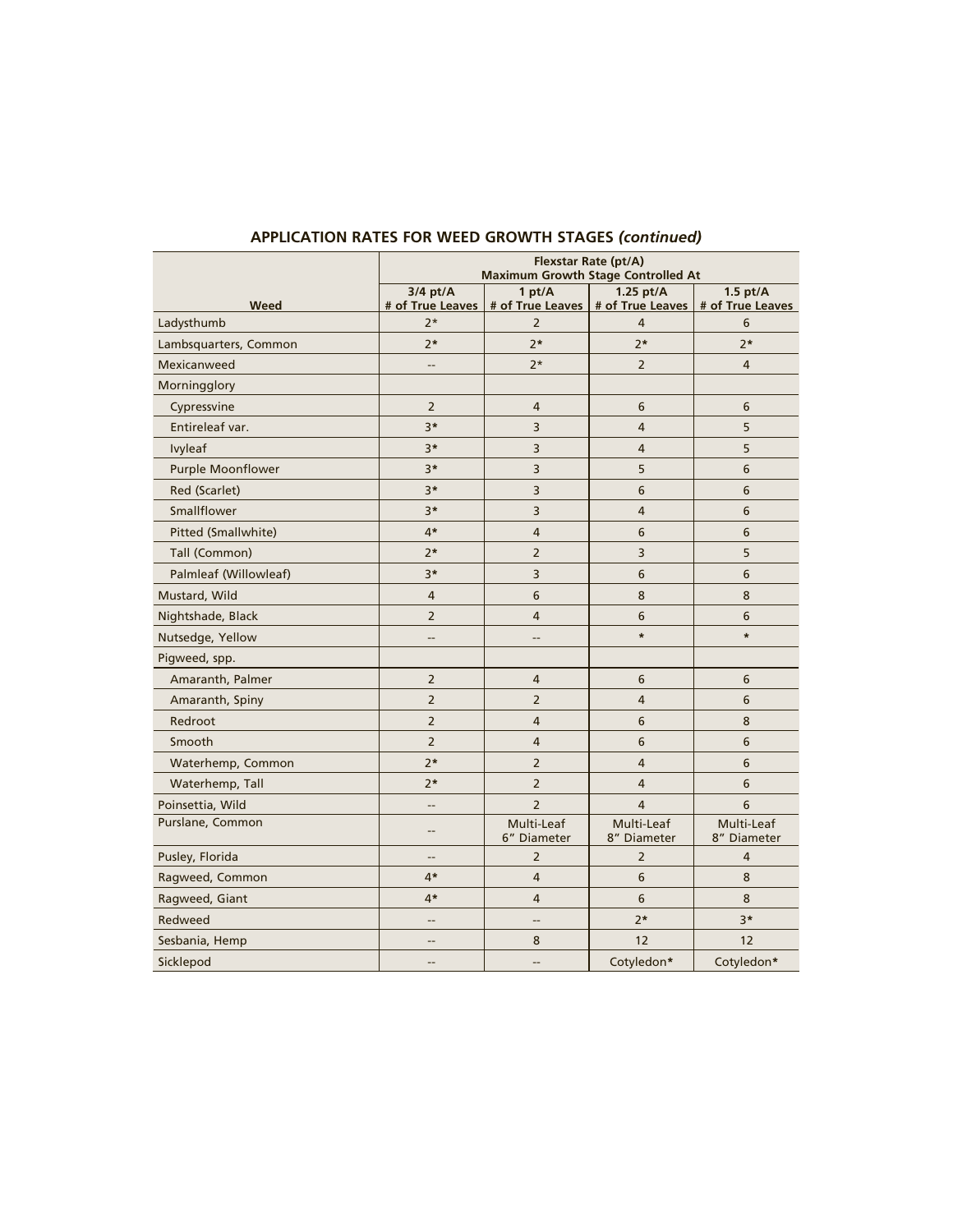| Flexstar Rate (pt/A)<br><b>Maximum Growth Stage Controlled At</b> |                                |                               |                                 |                                |
|-------------------------------------------------------------------|--------------------------------|-------------------------------|---------------------------------|--------------------------------|
| Weed                                                              | $3/4$ pt/A<br># of True Leaves | 1 pt/ $A$<br># of True Leaves | 1.25 $pt/A$<br># of True Leaves | $1.5$ pt/A<br># of True Leaves |
| Ladysthumb                                                        | $2*$                           | $\overline{2}$                | 4                               | 6                              |
| Lambsquarters, Common                                             | $2*$                           | $2*$                          | $2*$                            | $2*$                           |
| Mexicanweed                                                       | --                             | $2*$                          | $\overline{2}$                  | $\overline{4}$                 |
| Morningglory                                                      |                                |                               |                                 |                                |
| Cypressvine                                                       | $\overline{2}$                 | $\overline{4}$                | 6                               | 6                              |
| Entireleaf var.                                                   | $3*$                           | 3                             | 4                               | 5                              |
| Ivyleaf                                                           | $3*$                           | 3                             | 4                               | 5                              |
| Purple Moonflower                                                 | $3*$                           | 3                             | 5                               | 6                              |
| Red (Scarlet)                                                     | $3*$                           | 3                             | 6                               | 6                              |
| Smallflower                                                       | $3*$                           | 3                             | 4                               | 6                              |
| Pitted (Smallwhite)                                               | $4*$                           | $\overline{4}$                | 6                               | 6                              |
| Tall (Common)                                                     | $2*$                           | $\overline{2}$                | 3                               | 5                              |
| Palmleaf (Willowleaf)                                             | $3*$                           | 3                             | 6                               | 6                              |
| Mustard, Wild                                                     | $\overline{4}$                 | 6                             | 8                               | 8                              |
| Nightshade, Black                                                 | $\overline{2}$                 | $\overline{4}$                | 6                               | 6                              |
| Nutsedge, Yellow                                                  | --                             | $\overline{\phantom{a}}$      | $\ast$                          | $\ast$                         |
| Pigweed, spp.                                                     |                                |                               |                                 |                                |
| Amaranth, Palmer                                                  | $\overline{2}$                 | $\overline{4}$                | 6                               | 6                              |
| Amaranth, Spiny                                                   | $\overline{2}$                 | $\overline{2}$                | $\overline{4}$                  | 6                              |
| Redroot                                                           | $\overline{2}$                 | $\overline{4}$                | 6                               | 8                              |
| Smooth                                                            | $\overline{2}$                 | $\overline{4}$                | 6                               | 6                              |
| Waterhemp, Common                                                 | $2*$                           | $\overline{2}$                | 4                               | 6                              |
| Waterhemp, Tall                                                   | $2*$                           | $\overline{2}$                | $\overline{4}$                  | 6                              |
| Poinsettia, Wild                                                  | --                             | $\overline{2}$                | $\overline{a}$                  | 6                              |
| Purslane, Common                                                  | --                             | Multi-Leaf<br>6" Diameter     | Multi-Leaf<br>8" Diameter       | Multi-Leaf<br>8" Diameter      |
| Pusley, Florida                                                   | --                             | $\overline{2}$                | $\overline{2}$                  | 4                              |
| Ragweed, Common                                                   | $4*$                           | $\overline{4}$                | 6                               | 8                              |
| Ragweed, Giant                                                    | $4*$                           | $\overline{4}$                | 6                               | 8                              |
| Redweed                                                           | --                             | --                            | $2*$                            | $3*$                           |
| Sesbania, Hemp                                                    | $\overline{\phantom{a}}$       | 8                             | 12                              | 12                             |
| Sicklepod                                                         | $-$                            | $-$                           | Cotyledon*                      | Cotyledon*                     |

## **APPLICATION RATES FOR WEED GROWTH STAGES** *(continued)*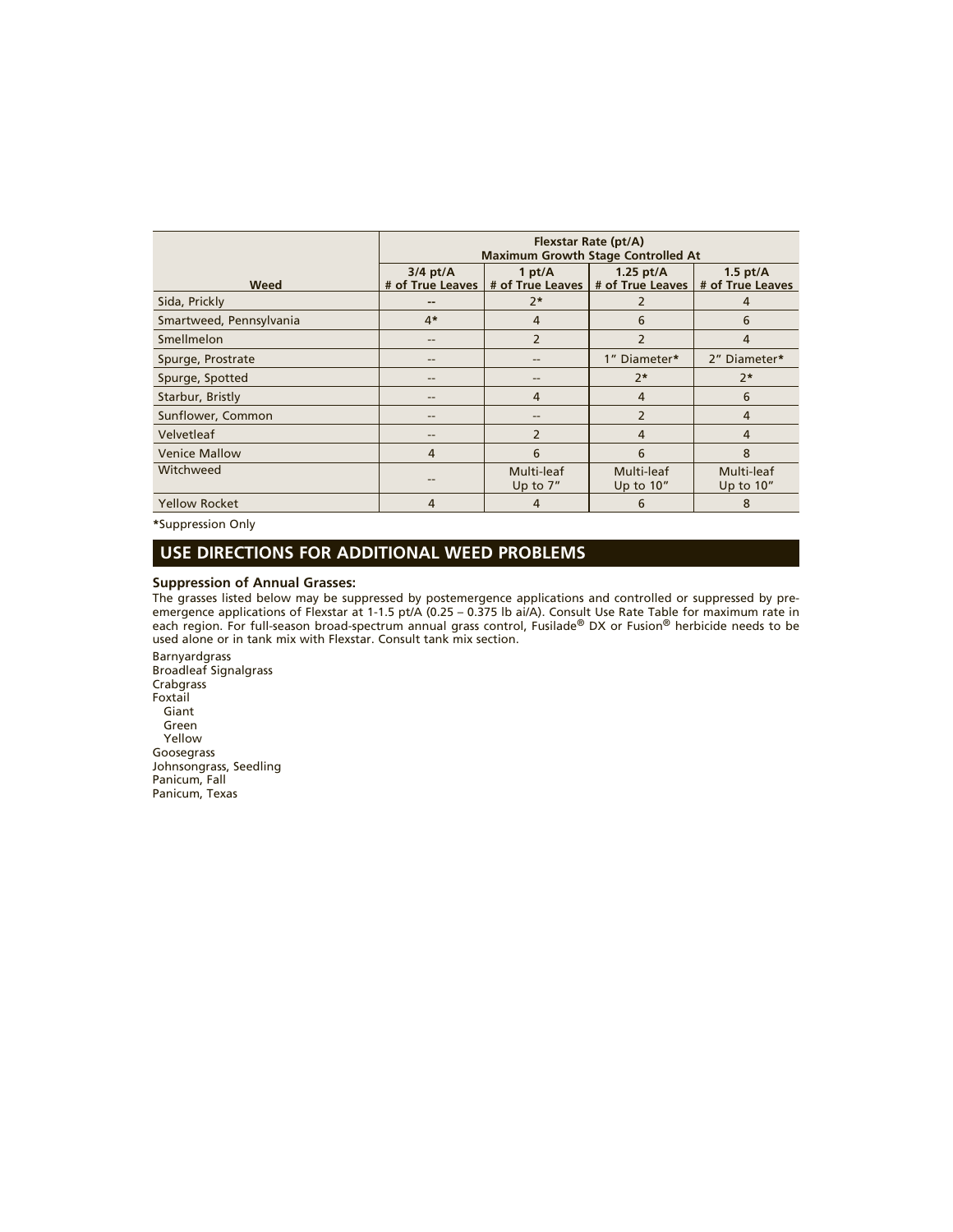|                         | Flexstar Rate (pt/A)<br><b>Maximum Growth Stage Controlled At</b> |                               |                                 |                                |
|-------------------------|-------------------------------------------------------------------|-------------------------------|---------------------------------|--------------------------------|
| Weed                    | $3/4$ pt/A<br># of True Leaves                                    | 1 pt/ $A$<br># of True Leaves | 1.25 $pt/A$<br># of True Leaves | $1.5$ pt/A<br># of True Leaves |
| Sida, Prickly           | --                                                                | $2*$                          |                                 | 4                              |
| Smartweed, Pennsylvania | $4*$                                                              | 4                             | 6                               | 6                              |
| Smellmelon              | --                                                                | $\overline{2}$                | $\overline{2}$                  | 4                              |
| Spurge, Prostrate       | --                                                                | --                            | 1" Diameter*                    | 2" Diameter*                   |
| Spurge, Spotted         | --                                                                | --                            | $2*$                            | $2*$                           |
| Starbur, Bristly        | --                                                                | 4                             | 4                               | 6                              |
| Sunflower, Common       | --                                                                | --                            | $\overline{2}$                  | $\overline{4}$                 |
| Velvetleaf              | --                                                                | $\overline{2}$                | $\overline{4}$                  | $\overline{4}$                 |
| <b>Venice Mallow</b>    | 4                                                                 | 6                             | 6                               | 8                              |
| Witchweed               |                                                                   | Multi-leaf<br>Up to $7''$     | Multi-leaf<br>Up to 10"         | Multi-leaf<br>Up to $10''$     |
| <b>Yellow Rocket</b>    | 4                                                                 | 4                             | 6                               | 8                              |

**\***Suppression Only

## **USE DIRECTIONS FOR ADDITIONAL WEED PROBLEMS**

#### **Suppression of Annual Grasses:**

The grasses listed below may be suppressed by postemergence applications and controlled or suppressed by preemergence applications of Flexstar at 1-1.5 pt/A (0.25 – 0.375 lb ai/A). Consult Use Rate Table for maximum rate in each region. For full-season broad-spectrum annual grass control, Fusilade® DX or Fusion® herbicide needs to be used alone or in tank mix with Flexstar. Consult tank mix section.

Barnyardgrass Broadleaf Signalgrass Crabgrass Foxtail Giant Green Yellow Goosegrass Johnsongrass, Seedling Panicum, Fall Panicum, Texas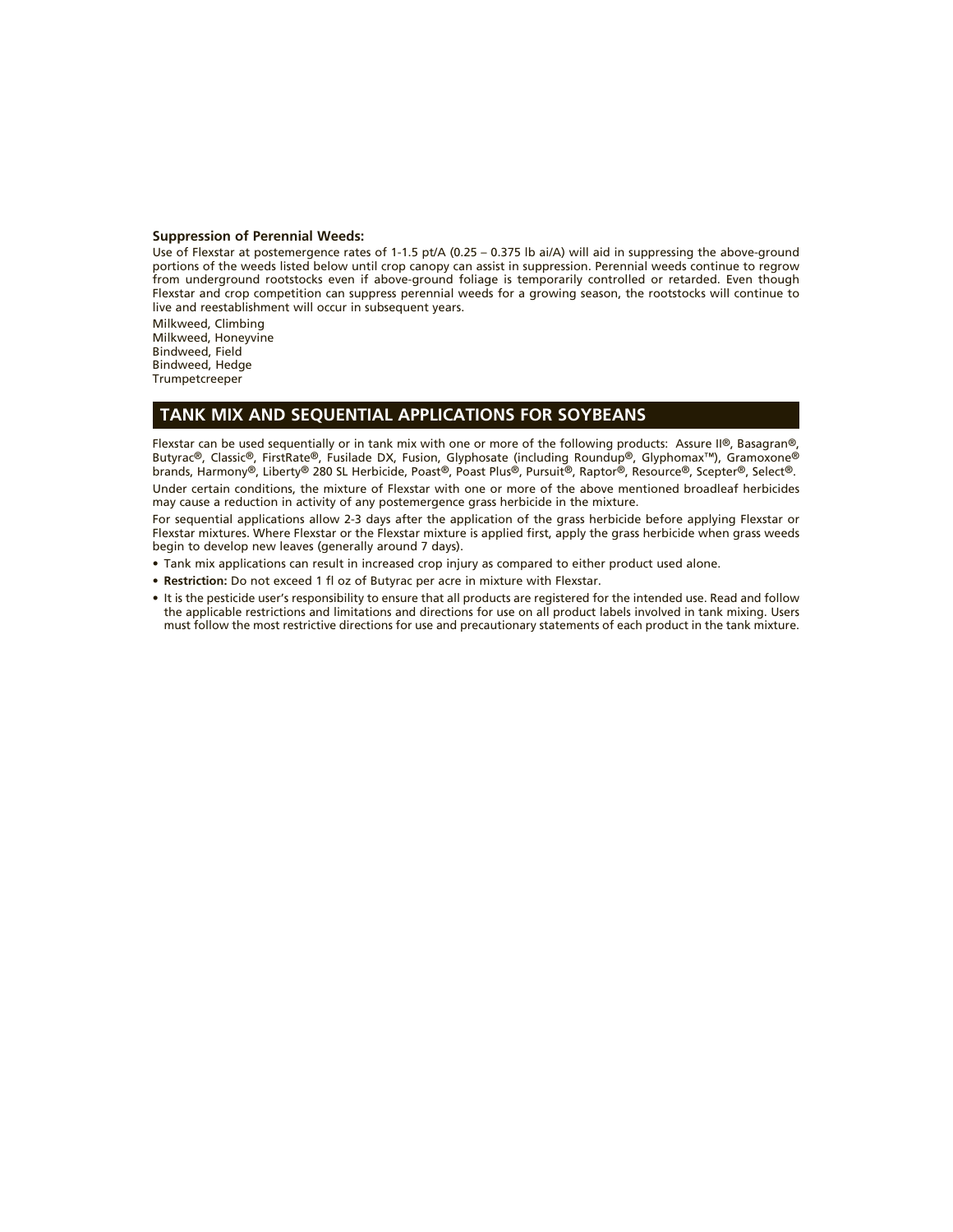#### **Suppression of Perennial Weeds:**

Use of Flexstar at postemergence rates of 1-1.5 pt/A (0.25 – 0.375 lb ai/A) will aid in suppressing the above-ground portions of the weeds listed below until crop canopy can assist in suppression. Perennial weeds continue to regrow from underground rootstocks even if above-ground foliage is temporarily controlled or retarded. Even though Flexstar and crop competition can suppress perennial weeds for a growing season, the rootstocks will continue to live and reestablishment will occur in subsequent years.

Milkweed, Climbing Milkweed, Honeyvine Bindweed, Field Bindweed, Hedge **Trumpetcreeper** 

## **TANK MIX AND SEQUENTIAL APPLICATIONS FOR SOYBEANS**

Flexstar can be used sequentially or in tank mix with one or more of the following products: Assure II®, Basagran®, Butyrac®, Classic®, FirstRate®, Fusilade DX, Fusion, Glyphosate (including Roundup®, Glyphomax™), Gramoxone® brands, Harmony®, Liberty® 280 SL Herbicide, Poast®, Poast Plus®, Pursuit®, Raptor®, Resource®, Scepter®, Select®. Under certain conditions, the mixture of Flexstar with one or more of the above mentioned broadleaf herbicides may cause a reduction in activity of any postemergence grass herbicide in the mixture.

For sequential applications allow 2-3 days after the application of the grass herbicide before applying Flexstar or Flexstar mixtures. Where Flexstar or the Flexstar mixture is applied first, apply the grass herbicide when grass weeds begin to develop new leaves (generally around 7 days).

- Tank mix applications can result in increased crop injury as compared to either product used alone.
- **Restriction:** Do not exceed 1 fl oz of Butyrac per acre in mixture with Flexstar.
- It is the pesticide user's responsibility to ensure that all products are registered for the intended use. Read and follow the applicable restrictions and limitations and directions for use on all product labels involved in tank mixing. Users must follow the most restrictive directions for use and precautionary statements of each product in the tank mixture.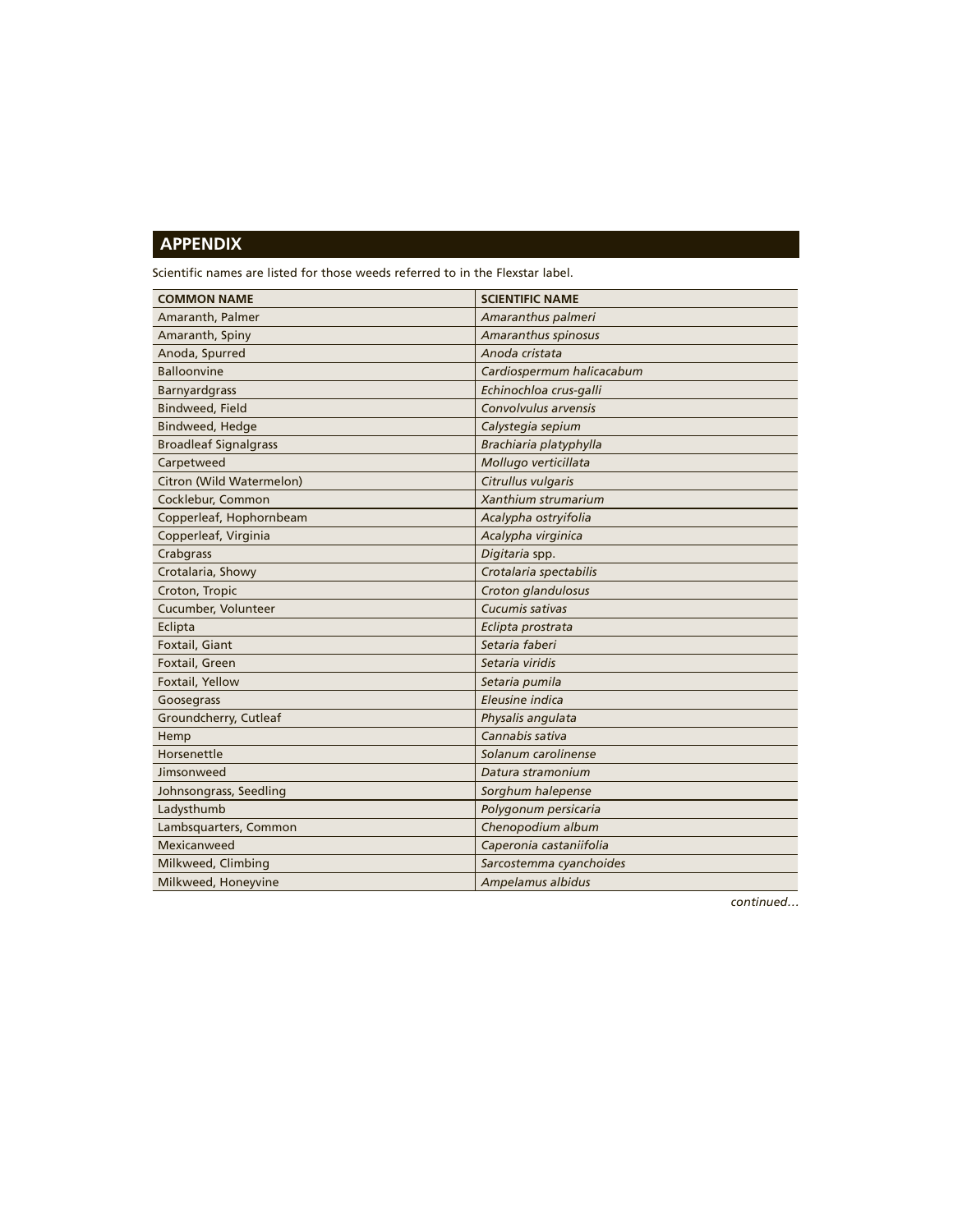## **APPENDIX**

Scientific names are listed for those weeds referred to in the Flexstar label.

| <b>COMMON NAME</b>           | <b>SCIENTIFIC NAME</b>    |
|------------------------------|---------------------------|
| Amaranth, Palmer             | Amaranthus palmeri        |
| Amaranth, Spiny              | Amaranthus spinosus       |
| Anoda, Spurred               | Anoda cristata            |
| <b>Balloonvine</b>           | Cardiospermum halicacabum |
| Barnyardgrass                | Echinochloa crus-galli    |
| <b>Bindweed, Field</b>       | Convolvulus arvensis      |
| <b>Bindweed, Hedge</b>       | Calystegia sepium         |
| <b>Broadleaf Signalgrass</b> | Brachiaria platyphylla    |
| Carpetweed                   | Mollugo verticillata      |
| Citron (Wild Watermelon)     | Citrullus vulgaris        |
| Cocklebur, Common            | Xanthium strumarium       |
| Copperleaf, Hophornbeam      | Acalypha ostryifolia      |
| Copperleaf, Virginia         | Acalypha virginica        |
| Crabgrass                    | Digitaria spp.            |
| Crotalaria, Showy            | Crotalaria spectabilis    |
| Croton, Tropic               | Croton glandulosus        |
| Cucumber, Volunteer          | Cucumis sativas           |
| Eclipta                      | Eclipta prostrata         |
| Foxtail, Giant               | Setaria faberi            |
| Foxtail, Green               | Setaria viridis           |
| Foxtail, Yellow              | Setaria pumila            |
| Goosegrass                   | Eleusine indica           |
| Groundcherry, Cutleaf        | Physalis angulata         |
| Hemp                         | Cannabis sativa           |
| Horsenettle                  | Solanum carolinense       |
| Jimsonweed                   | Datura stramonium         |
| Johnsongrass, Seedling       | Sorghum halepense         |
| Ladysthumb                   | Polygonum persicaria      |
| Lambsquarters, Common        | Chenopodium album         |
| Mexicanweed                  | Caperonia castaniifolia   |
| Milkweed, Climbing           | Sarcostemma cyanchoides   |
| Milkweed, Honeyvine          | Ampelamus albidus         |

*continued…*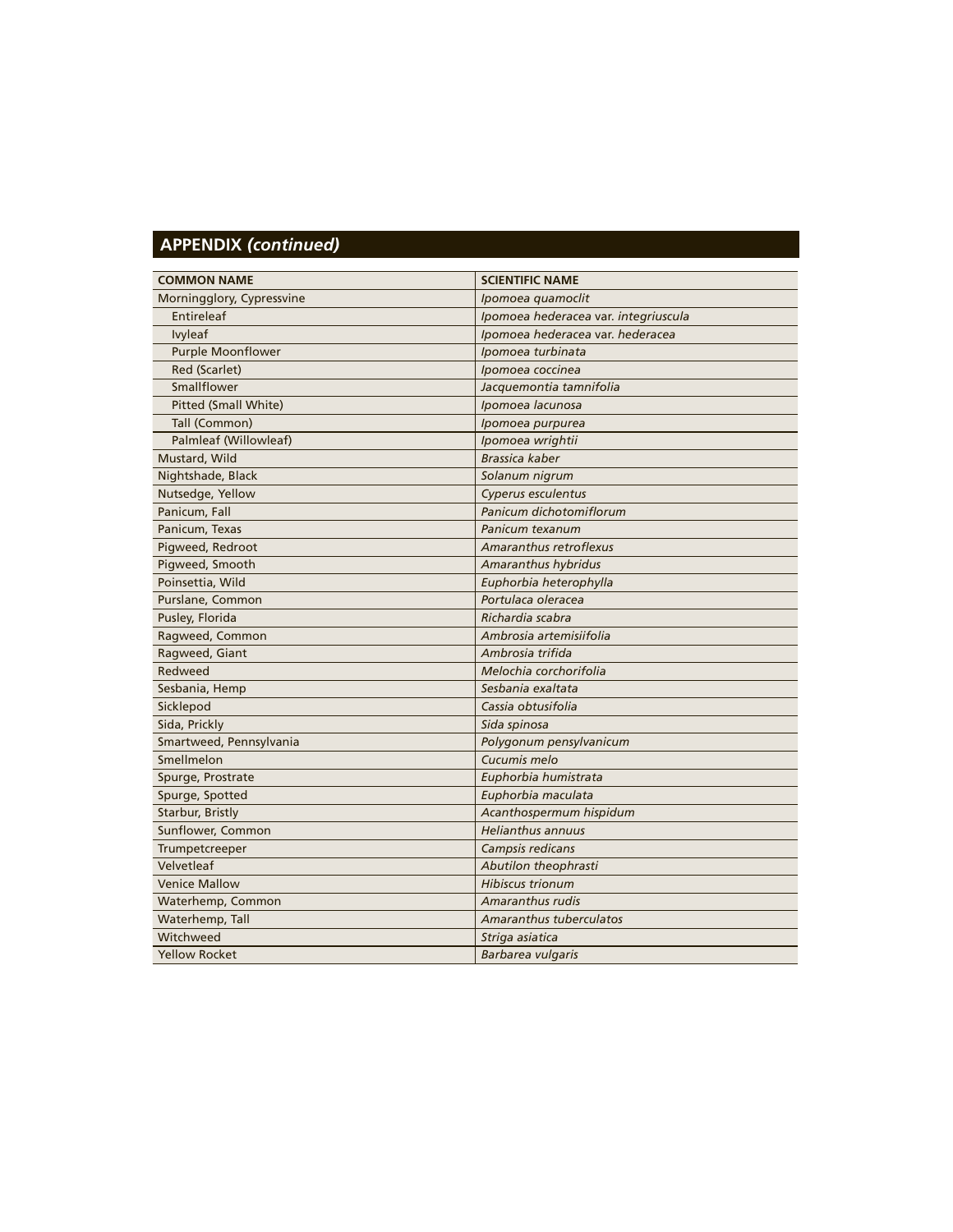## **APPENDIX** *(continued)*

| <b>COMMON NAME</b>        | <b>SCIENTIFIC NAME</b>               |
|---------------------------|--------------------------------------|
| Morningglory, Cypressvine | Ipomoea quamoclit                    |
| Entireleaf                | Ipomoea hederacea var. integriuscula |
| Ivyleaf                   | Ipomoea hederacea var. hederacea     |
| <b>Purple Moonflower</b>  | Ipomoea turbinata                    |
| Red (Scarlet)             | Ipomoea coccinea                     |
| Smallflower               | Jacquemontia tamnifolia              |
| Pitted (Small White)      | Ipomoea lacunosa                     |
| Tall (Common)             | Ipomoea purpurea                     |
| Palmleaf (Willowleaf)     | Ipomoea wrightii                     |
| Mustard, Wild             | Brassica kaber                       |
| Nightshade, Black         | Solanum nigrum                       |
| Nutsedge, Yellow          | Cyperus esculentus                   |
| Panicum, Fall             | Panicum dichotomiflorum              |
| Panicum, Texas            | Panicum texanum                      |
| Pigweed, Redroot          | <b>Amaranthus retroflexus</b>        |
| Pigweed, Smooth           | Amaranthus hybridus                  |
| Poinsettia, Wild          | Euphorbia heterophylla               |
| Purslane, Common          | Portulaca oleracea                   |
| Pusley, Florida           | Richardia scabra                     |
| Ragweed, Common           | Ambrosia artemisiifolia              |
| Ragweed, Giant            | Ambrosia trifida                     |
| Redweed                   | Melochia corchorifolia               |
| Sesbania, Hemp            | Sesbania exaltata                    |
| Sicklepod                 | Cassia obtusifolia                   |
| Sida, Prickly             | Sida spinosa                         |
| Smartweed, Pennsylvania   | Polygonum pensylvanicum              |
| Smellmelon                | Cucumis melo                         |
| Spurge, Prostrate         | Euphorbia humistrata                 |
| Spurge, Spotted           | Euphorbia maculata                   |
| Starbur, Bristly          | Acanthospermum hispidum              |
| Sunflower, Common         | <b>Helianthus annuus</b>             |
| Trumpetcreeper            | Campsis redicans                     |
| Velvetleaf                | Abutilon theophrasti                 |
| <b>Venice Mallow</b>      | <b>Hibiscus trionum</b>              |
| Waterhemp, Common         | Amaranthus rudis                     |
| Waterhemp, Tall           | Amaranthus tuberculatos              |
| Witchweed                 | Striga asiatica                      |
| <b>Yellow Rocket</b>      | Barbarea vulgaris                    |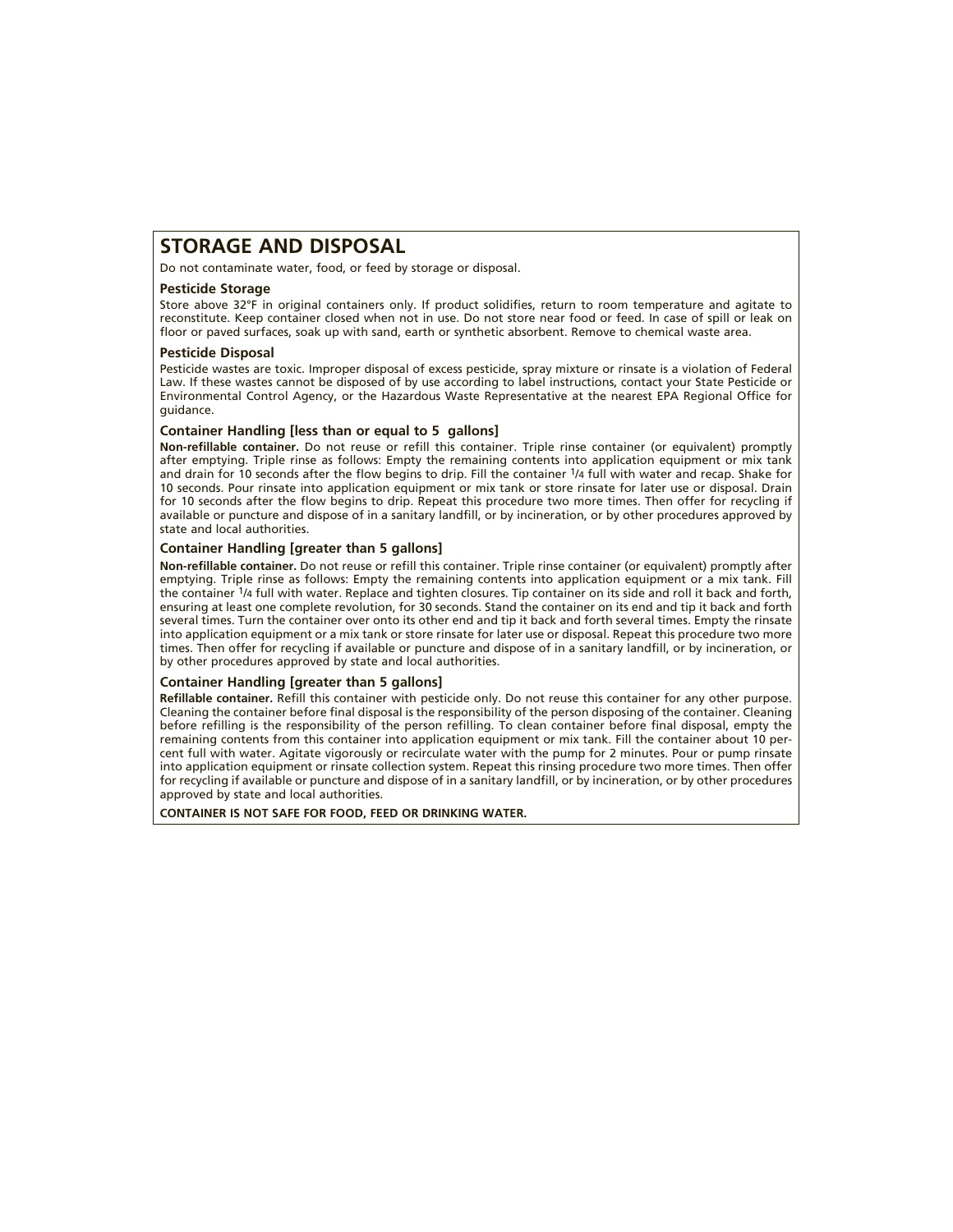## **STORAGE AND DISPOSAL**

Do not contaminate water, food, or feed by storage or disposal.

#### **Pesticide Storage**

Store above 32°F in original containers only. If product solidifies, return to room temperature and agitate to reconstitute. Keep container closed when not in use. Do not store near food or feed. In case of spill or leak on floor or paved surfaces, soak up with sand, earth or synthetic absorbent. Remove to chemical waste area.

#### **Pesticide Disposal**

Pesticide wastes are toxic. Improper disposal of excess pesticide, spray mixture or rinsate is a violation of Federal Law. If these wastes cannot be disposed of by use according to label instructions, contact your State Pesticide or Environmental Control Agency, or the Hazardous Waste Representative at the nearest EPA Regional Office for guidance.

#### **Container Handling [less than or equal to 5 gallons]**

**Non-refillable container.** Do not reuse or refill this container. Triple rinse container (or equivalent) promptly after emptying. Triple rinse as follows: Empty the remaining contents into application equipment or mix tank and drain for 10 seconds after the flow begins to drip. Fill the container 1/4 full with water and recap. Shake for 10 seconds. Pour rinsate into application equipment or mix tank or store rinsate for later use or disposal. Drain for 10 seconds after the flow begins to drip. Repeat this procedure two more times. Then offer for recycling if available or puncture and dispose of in a sanitary landfill, or by incineration, or by other procedures approved by state and local authorities.

#### **Container Handling [greater than 5 gallons]**

**Non-refillable container.** Do not reuse or refill this container. Triple rinse container (or equivalent) promptly after emptying. Triple rinse as follows: Empty the remaining contents into application equipment or a mix tank. Fill the container 1/4 full with water. Replace and tighten closures. Tip container on its side and roll it back and forth, ensuring at least one complete revolution, for 30 seconds. Stand the container on its end and tip it back and forth several times. Turn the container over onto its other end and tip it back and forth several times. Empty the rinsate into application equipment or a mix tank or store rinsate for later use or disposal. Repeat this procedure two more times. Then offer for recycling if available or puncture and dispose of in a sanitary landfill, or by incineration, or by other procedures approved by state and local authorities.

#### **Container Handling [greater than 5 gallons]**

**Refillable container.** Refill this container with pesticide only. Do not reuse this container for any other purpose. Cleaning the container before final disposal is the responsibility of the person disposing of the container. Cleaning before refilling is the responsibility of the person refilling. To clean container before final disposal, empty the remaining contents from this container into application equipment or mix tank. Fill the container about 10 percent full with water. Agitate vigorously or recirculate water with the pump for 2 minutes. Pour or pump rinsate into application equipment or rinsate collection system. Repeat this rinsing procedure two more times. Then offer for recycling if available or puncture and dispose of in a sanitary landfill, or by incineration, or by other procedures approved by state and local authorities.

**CONTAINER IS NOT SAFE FOR FOOD, FEED OR DRINKING WATER.**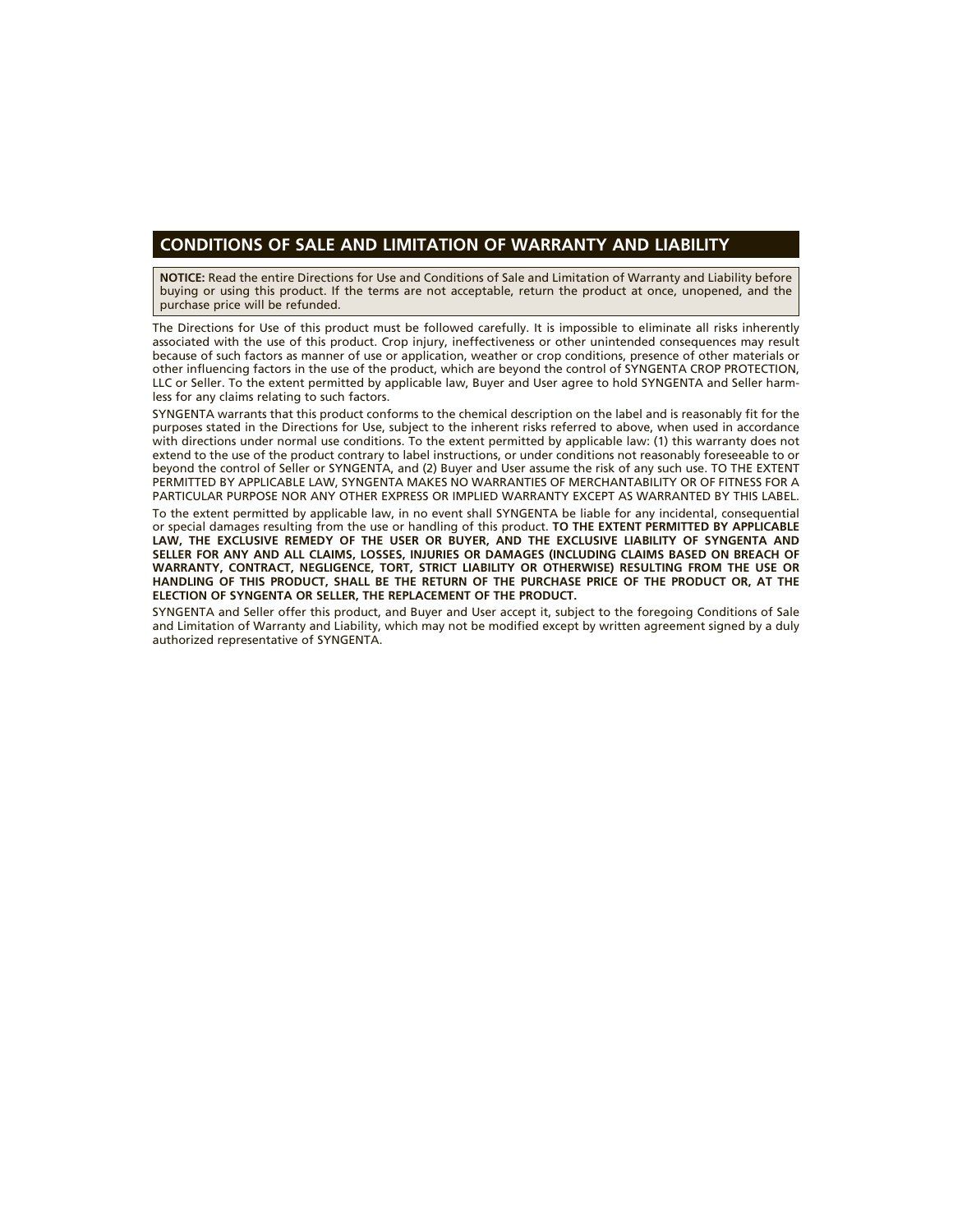#### **CONDITIONS OF SALE AND LIMITATION OF WARRANTY AND LIABILITY**

**NOTICE:** Read the entire Directions for Use and Conditions of Sale and Limitation of Warranty and Liability before buying or using this product. If the terms are not acceptable, return the product at once, unopened, and the purchase price will be refunded.

The Directions for Use of this product must be followed carefully. It is impossible to eliminate all risks inherently associated with the use of this product. Crop injury, ineffectiveness or other unintended consequences may result because of such factors as manner of use or application, weather or crop conditions, presence of other materials or other influencing factors in the use of the product, which are beyond the control of SYNGENTA CROP PROTECTION, LLC or Seller. To the extent permitted by applicable law, Buyer and User agree to hold SYNGENTA and Seller harmless for any claims relating to such factors.

SYNGENTA warrants that this product conforms to the chemical description on the label and is reasonably fit for the purposes stated in the Directions for Use, subject to the inherent risks referred to above, when used in accordance with directions under normal use conditions. To the extent permitted by applicable law: (1) this warranty does not extend to the use of the product contrary to label instructions, or under conditions not reasonably foreseeable to or beyond the control of Seller or SYNGENTA, and (2) Buyer and User assume the risk of any such use. TO THE EXTENT PERMITTED BY APPLICABLE LAW, SYNGENTA MAKES NO WARRANTIES OF MERCHANTABILITY OR OF FITNESS FOR A PARTICULAR PURPOSE NOR ANY OTHER EXPRESS OR IMPLIED WARRANTY EXCEPT AS WARRANTED BY THIS LABEL.

To the extent permitted by applicable law, in no event shall SYNGENTA be liable for any incidental, consequential or special damages resulting from the use or handling of this product. **TO THE EXTENT PERMITTED BY APPLICABLE LAW, THE EXCLUSIVE REMEDY OF THE USER OR BUYER, AND THE EXCLUSIVE LIABILITY OF SYNGENTA AND SELLER FOR ANY AND ALL CLAIMS, LOSSES, INJURIES OR DAMAGES (INCLUDING CLAIMS BASED ON BREACH OF WARRANTY, CONTRACT, NEGLIGENCE, TORT, STRICT LIABILITY OR OTHERWISE) RESULTING FROM THE USE OR HANDLING OF THIS PRODUCT, SHALL BE THE RETURN OF THE PURCHASE PRICE OF THE PRODUCT OR, AT THE ELECTION OF SYNGENTA OR SELLER, THE REPLACEMENT OF THE PRODUCT.**

SYNGENTA and Seller offer this product, and Buyer and User accept it, subject to the foregoing Conditions of Sale and Limitation of Warranty and Liability, which may not be modified except by written agreement signed by a duly authorized representative of SYNGENTA.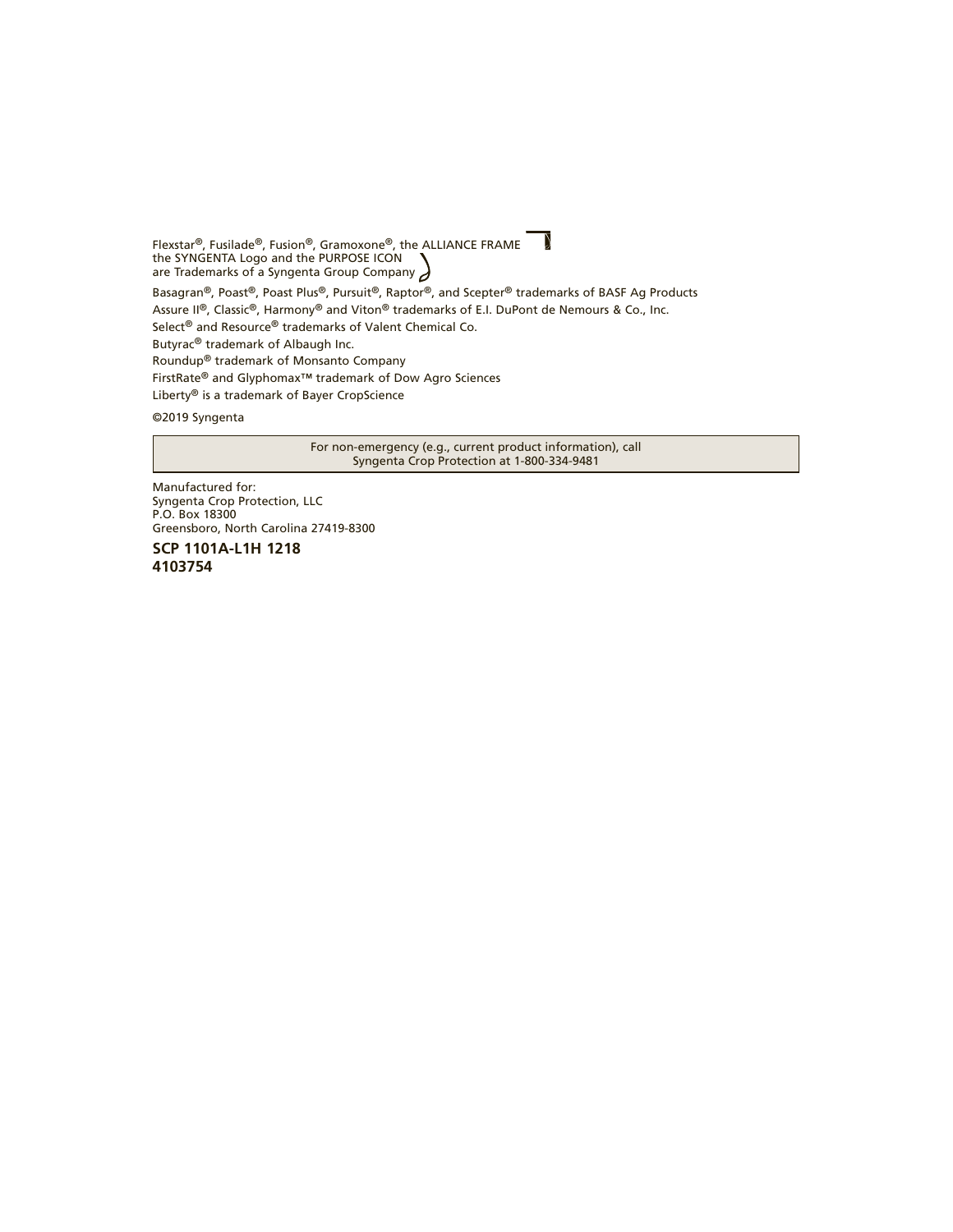$\mathcal{L}$ Flexstar®, Fusilade®, Fusion®, Gramoxone®, the ALLIANCE FRAME the SYNGENTA Logo and the PURPOSE ICON are Trademarks of a Syngenta Group Company Basagran®, Poast®, Poast Plus®, Pursuit®, Raptor®, and Scepter® trademarks of BASF Ag Products Assure II®, Classic®, Harmony® and Viton® trademarks of E.I. DuPont de Nemours & Co., Inc. Select® and Resource® trademarks of Valent Chemical Co. Butyrac® trademark of Albaugh Inc. Roundup® trademark of Monsanto Company FirstRate® and Glyphomax™ trademark of Dow Agro Sciences Liberty® is a trademark of Bayer CropScience

©2019 Syngenta

For non-emergency (e.g., current product information), call Syngenta Crop Protection at 1-800-334-9481

Manufactured for: Syngenta Crop Protection, LLC P.O. Box 18300 Greensboro, North Carolina 27419-8300

**SCP 1101A-L1H 1218 4103754**